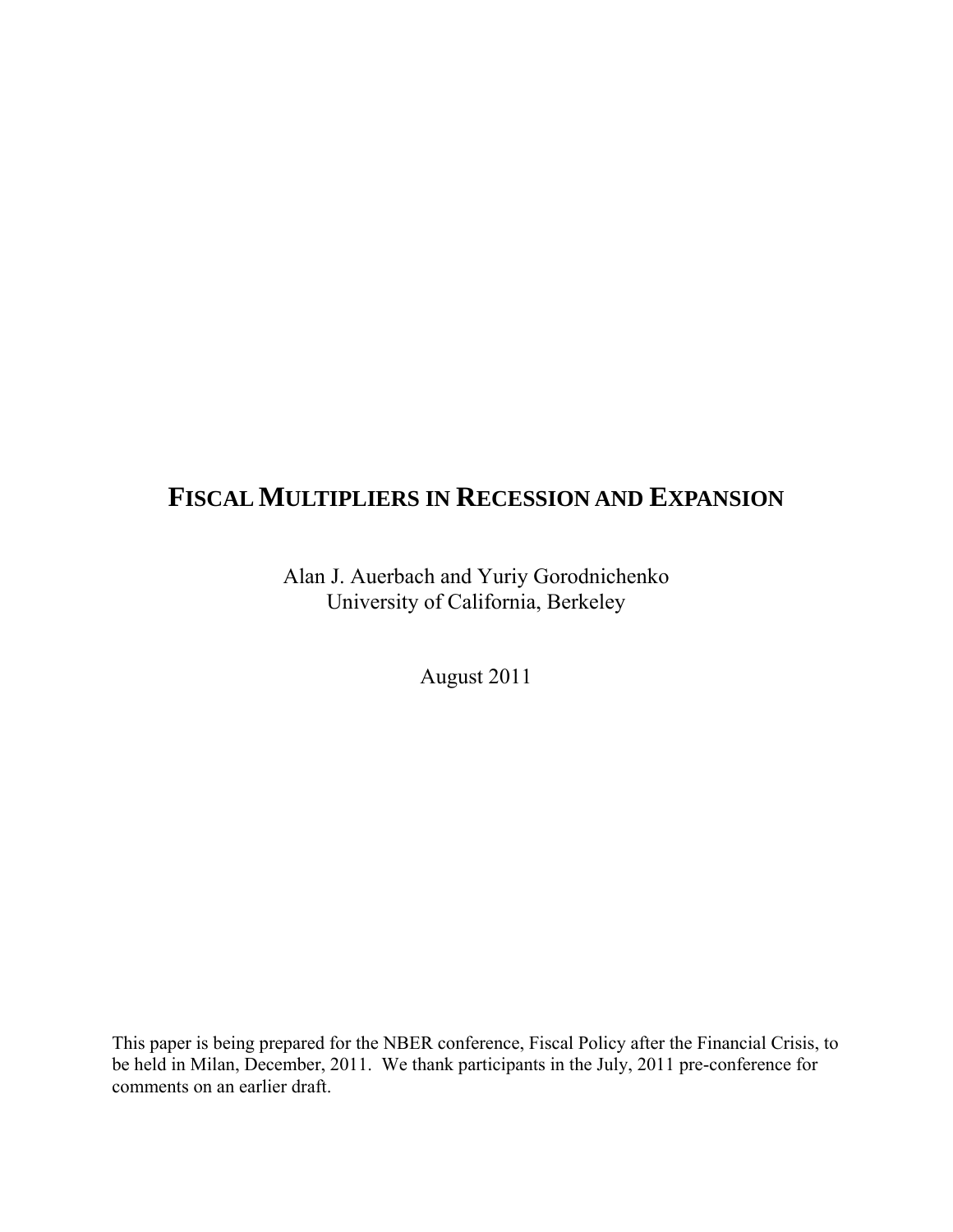# **FISCAL MULTIPLIERS IN RECESSION AND EXPANSION**

Alan J. Auerbach and Yuriy Gorodnichenko University of California, Berkeley

August 2011

This paper is being prepared for the NBER conference, Fiscal Policy after the Financial Crisis, to be held in Milan, December, 2011. We thank participants in the July, 2011 pre-conference for comments on an earlier draft.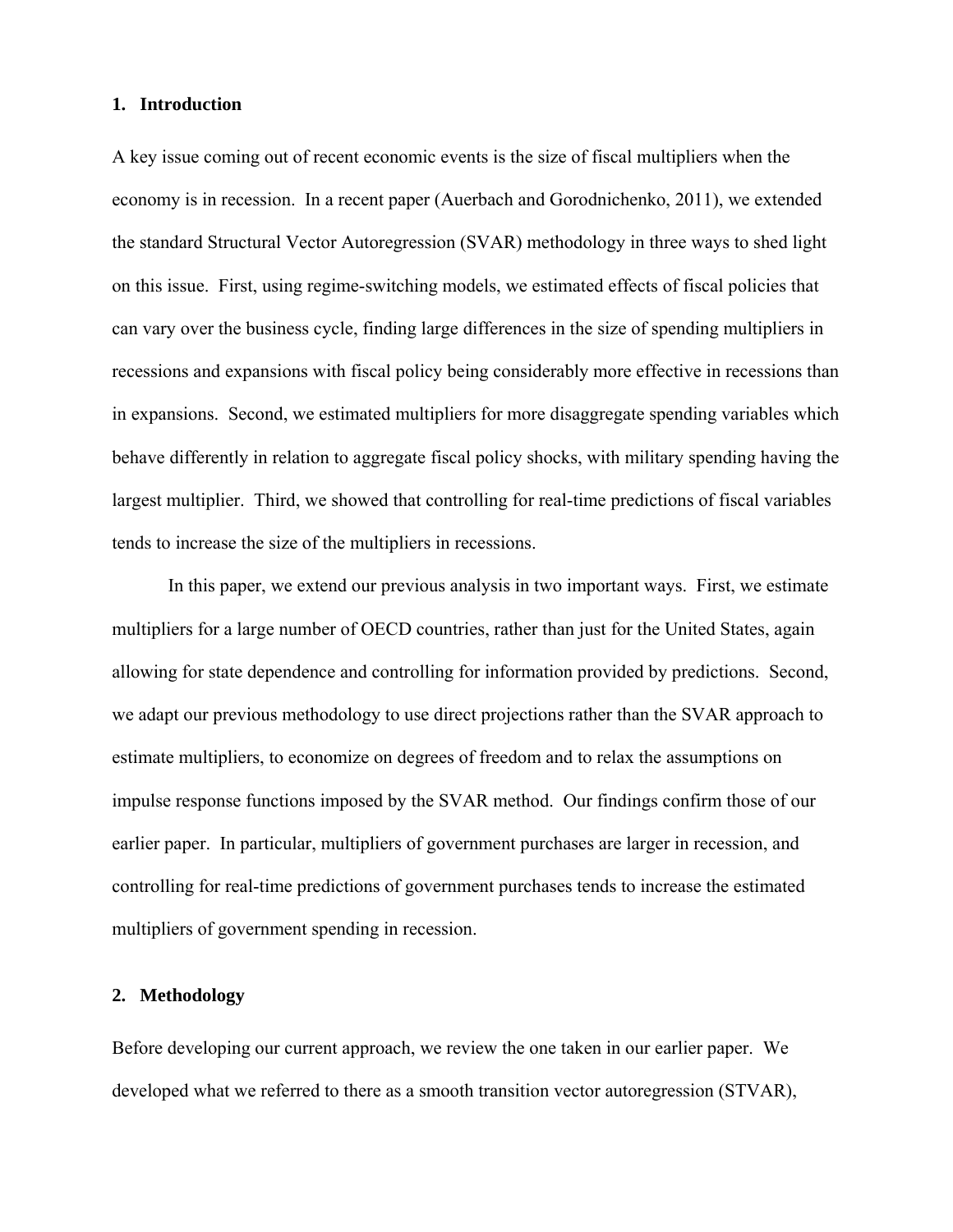#### **1. Introduction**

A key issue coming out of recent economic events is the size of fiscal multipliers when the economy is in recession. In a recent paper (Auerbach and Gorodnichenko, 2011), we extended the standard Structural Vector Autoregression (SVAR) methodology in three ways to shed light on this issue. First, using regime-switching models, we estimated effects of fiscal policies that can vary over the business cycle, finding large differences in the size of spending multipliers in recessions and expansions with fiscal policy being considerably more effective in recessions than in expansions. Second, we estimated multipliers for more disaggregate spending variables which behave differently in relation to aggregate fiscal policy shocks, with military spending having the largest multiplier. Third, we showed that controlling for real-time predictions of fiscal variables tends to increase the size of the multipliers in recessions.

In this paper, we extend our previous analysis in two important ways. First, we estimate multipliers for a large number of OECD countries, rather than just for the United States, again allowing for state dependence and controlling for information provided by predictions. Second, we adapt our previous methodology to use direct projections rather than the SVAR approach to estimate multipliers, to economize on degrees of freedom and to relax the assumptions on impulse response functions imposed by the SVAR method. Our findings confirm those of our earlier paper. In particular, multipliers of government purchases are larger in recession, and controlling for real-time predictions of government purchases tends to increase the estimated multipliers of government spending in recession.

### **2. Methodology**

Before developing our current approach, we review the one taken in our earlier paper. We developed what we referred to there as a smooth transition vector autoregression (STVAR),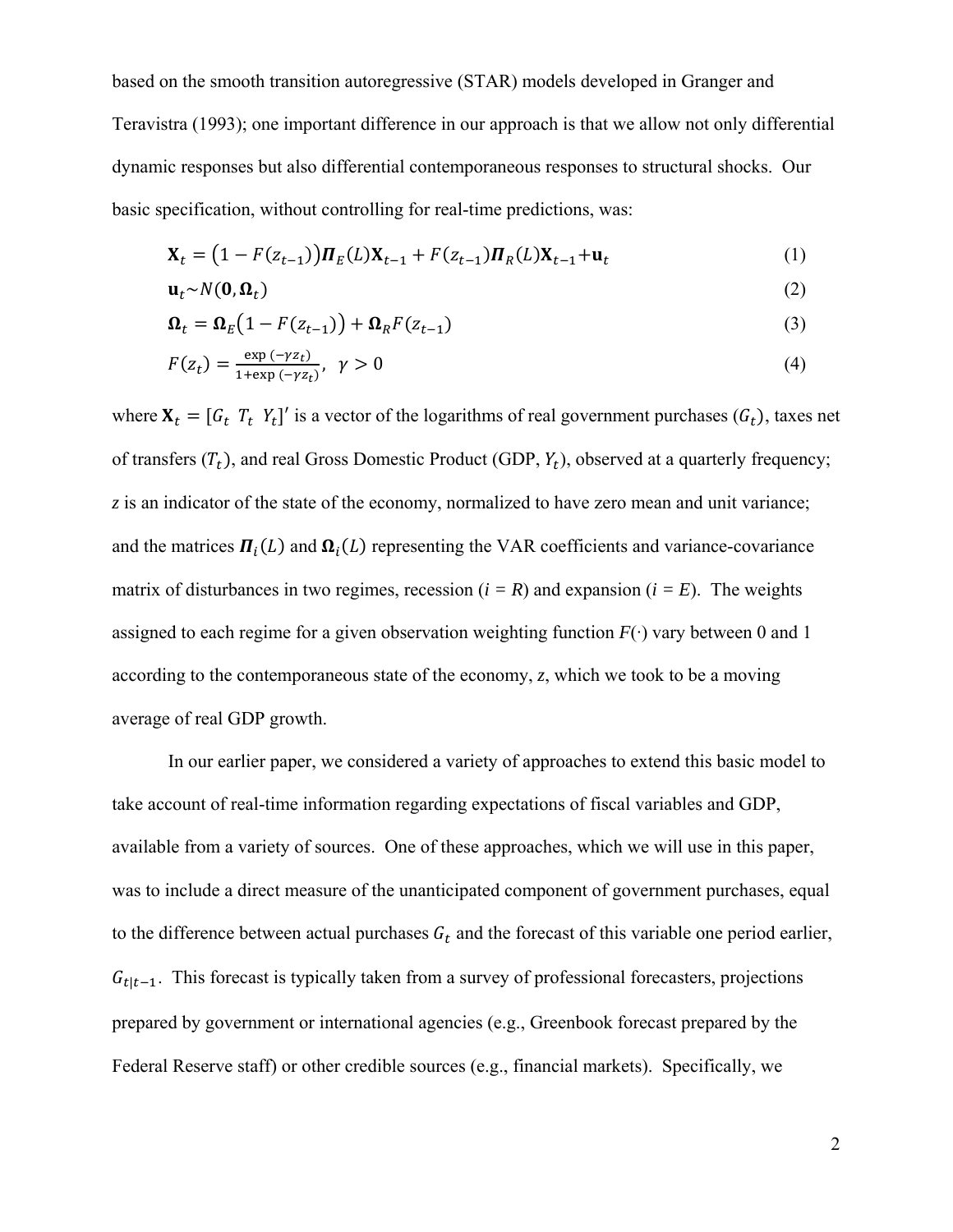based on the smooth transition autoregressive (STAR) models developed in Granger and Teravistra (1993); one important difference in our approach is that we allow not only differential dynamic responses but also differential contemporaneous responses to structural shocks. Our basic specification, without controlling for real-time predictions, was:

$$
\mathbf{X}_{t} = (1 - F(z_{t-1}))\mathbf{\Pi}_{E}(L)\mathbf{X}_{t-1} + F(z_{t-1})\mathbf{\Pi}_{R}(L)\mathbf{X}_{t-1} + \mathbf{u}_{t}
$$
(1)

$$
\mathbf{u}_t \sim N(\mathbf{0}, \mathbf{\Omega}_t) \tag{2}
$$

$$
\Omega_t = \Omega_E \left( 1 - F(z_{t-1}) \right) + \Omega_R F(z_{t-1}) \tag{3}
$$

$$
F(z_t) = \frac{\exp\left(-\gamma z_t\right)}{1 + \exp\left(-\gamma z_t\right)}, \quad \gamma > 0 \tag{4}
$$

where  $X_t = [G_t \, T_t \, Y_t]'$  is a vector of the logarithms of real government purchases  $(G_t)$ , taxes net of transfers  $(T_t)$ , and real Gross Domestic Product (GDP,  $Y_t$ ), observed at a quarterly frequency; *z* is an indicator of the state of the economy, normalized to have zero mean and unit variance; and the matrices  $\Pi_i(L)$  and  $\Omega_i(L)$  representing the VAR coefficients and variance-covariance matrix of disturbances in two regimes, recession  $(i = R)$  and expansion  $(i = E)$ . The weights assigned to each regime for a given observation weighting function  $F(\cdot)$  vary between 0 and 1 according to the contemporaneous state of the economy, *z*, which we took to be a moving average of real GDP growth.

In our earlier paper, we considered a variety of approaches to extend this basic model to take account of real-time information regarding expectations of fiscal variables and GDP, available from a variety of sources. One of these approaches, which we will use in this paper, was to include a direct measure of the unanticipated component of government purchases, equal to the difference between actual purchases  $G_t$  and the forecast of this variable one period earlier,  $G_{t|t-1}$ . This forecast is typically taken from a survey of professional forecasters, projections prepared by government or international agencies (e.g., Greenbook forecast prepared by the Federal Reserve staff) or other credible sources (e.g., financial markets). Specifically, we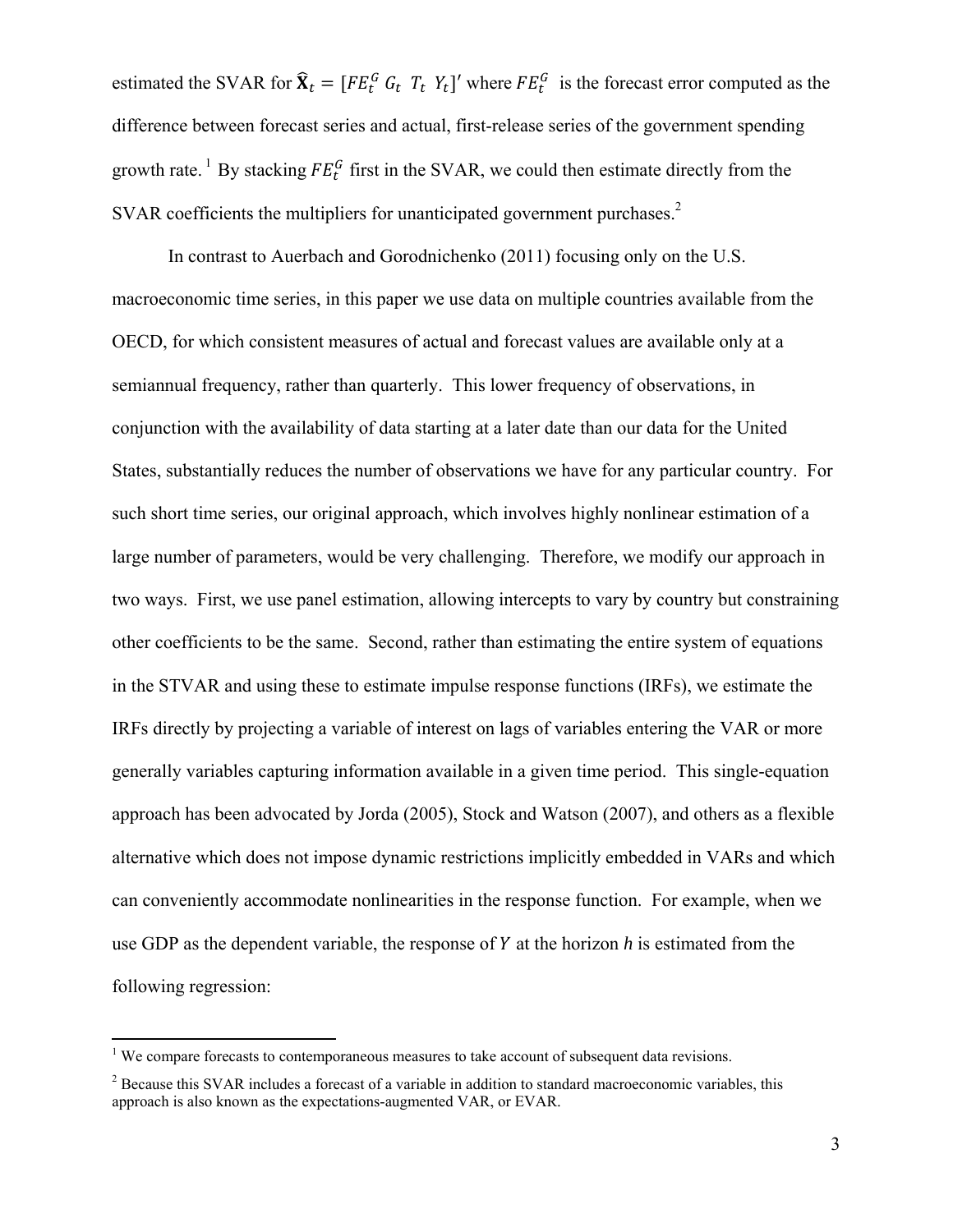estimated the SVAR for  $\hat{\mathbf{X}}_t = [FE_t^G G_t T_t Y_t]'$  where  $FE_t^G$  is the forecast error computed as the difference between forecast series and actual, first-release series of the government spending growth rate.<sup>1</sup> By stacking  $FE_t^G$  first in the SVAR, we could then estimate directly from the SVAR coefficients the multipliers for unanticipated government purchases. $2$ 

In contrast to Auerbach and Gorodnichenko (2011) focusing only on the U.S. macroeconomic time series, in this paper we use data on multiple countries available from the OECD, for which consistent measures of actual and forecast values are available only at a semiannual frequency, rather than quarterly. This lower frequency of observations, in conjunction with the availability of data starting at a later date than our data for the United States, substantially reduces the number of observations we have for any particular country. For such short time series, our original approach, which involves highly nonlinear estimation of a large number of parameters, would be very challenging. Therefore, we modify our approach in two ways. First, we use panel estimation, allowing intercepts to vary by country but constraining other coefficients to be the same. Second, rather than estimating the entire system of equations in the STVAR and using these to estimate impulse response functions (IRFs), we estimate the IRFs directly by projecting a variable of interest on lags of variables entering the VAR or more generally variables capturing information available in a given time period. This single-equation approach has been advocated by Jorda (2005), Stock and Watson (2007), and others as a flexible alternative which does not impose dynamic restrictions implicitly embedded in VARs and which can conveniently accommodate nonlinearities in the response function. For example, when we use GDP as the dependent variable, the response of Y at the horizon h is estimated from the following regression:

<sup>&</sup>lt;sup>1</sup> We compare forecasts to contemporaneous measures to take account of subsequent data revisions.

<sup>&</sup>lt;sup>2</sup> Because this SVAR includes a forecast of a variable in addition to standard macroeconomic variables, this approach is also known as the expectations-augmented VAR, or EVAR.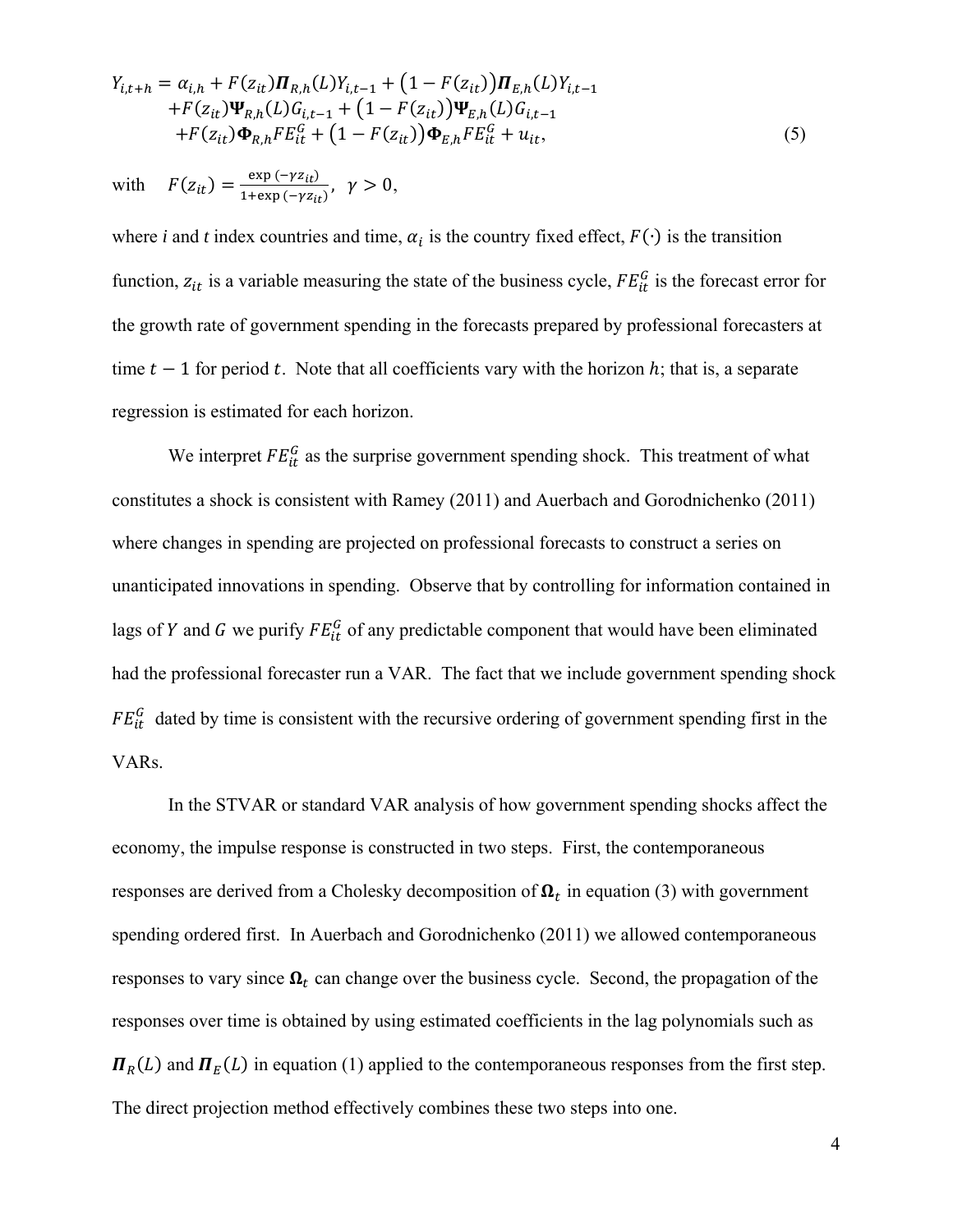$$
Y_{i,t+h} = \alpha_{i,h} + F(z_{it})\mathbf{\Pi}_{R,h}(L)Y_{i,t-1} + (1 - F(z_{it}))\mathbf{\Pi}_{E,h}(L)Y_{i,t-1} + F(z_{it})\Psi_{R,h}(L)G_{i,t-1} + (1 - F(z_{it}))\Psi_{E,h}(L)G_{i,t-1} + F(z_{it})\Phi_{R,h}FE_{it}^G + (1 - F(z_{it}))\Phi_{E,h}FE_{it}^G + u_{it},
$$
\n(5)

with 
$$
F(z_{it}) = \frac{\exp(-\gamma z_{it})}{1 + \exp(-\gamma z_{it})}, \gamma > 0,
$$

where *i* and *t* index countries and time,  $\alpha_i$  is the country fixed effect,  $F(\cdot)$  is the transition function,  $z_{it}$  is a variable measuring the state of the business cycle,  $FE_{it}^G$  is the forecast error for the growth rate of government spending in the forecasts prepared by professional forecasters at time  $t-1$  for period t. Note that all coefficients vary with the horizon h; that is, a separate regression is estimated for each horizon.

We interpret  $FE_{it}^G$  as the surprise government spending shock. This treatment of what constitutes a shock is consistent with Ramey (2011) and Auerbach and Gorodnichenko (2011) where changes in spending are projected on professional forecasts to construct a series on unanticipated innovations in spending. Observe that by controlling for information contained in lags of Y and G we purify  $FE_{it}^G$  of any predictable component that would have been eliminated had the professional forecaster run a VAR. The fact that we include government spending shock  $FE_{it}^G$  dated by time is consistent with the recursive ordering of government spending first in the VARs.

In the STVAR or standard VAR analysis of how government spending shocks affect the economy, the impulse response is constructed in two steps. First, the contemporaneous responses are derived from a Cholesky decomposition of  $\Omega_t$  in equation (3) with government spending ordered first. In Auerbach and Gorodnichenko (2011) we allowed contemporaneous responses to vary since  $\Omega_t$  can change over the business cycle. Second, the propagation of the responses over time is obtained by using estimated coefficients in the lag polynomials such as  $\Pi_R(L)$  and  $\Pi_E(L)$  in equation (1) applied to the contemporaneous responses from the first step. The direct projection method effectively combines these two steps into one.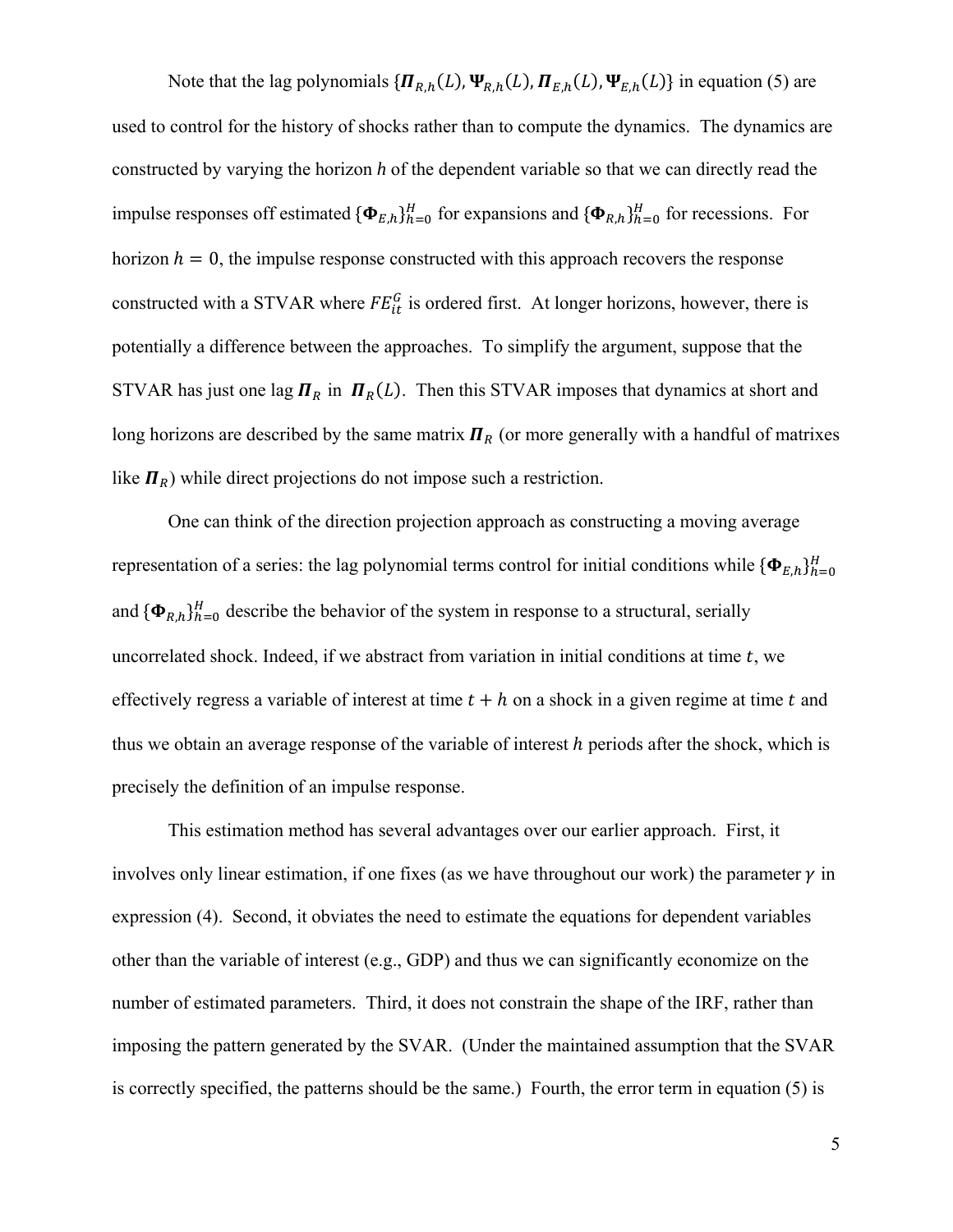Note that the lag polynomials  $\{\Pi_{R,h}(L), \Psi_{R,h}(L), \Pi_{E,h}(L), \Psi_{E,h}(L)\}\$  in equation (5) are used to control for the history of shocks rather than to compute the dynamics. The dynamics are constructed by varying the horizon *h* of the dependent variable so that we can directly read the impulse responses off estimated  ${\{\Phi_{E,h}\}_{h=0}^H}$  for expansions and  ${\{\Phi_{R,h}\}_{h=0}^H}$  for recessions. For horizon  $h = 0$ , the impulse response constructed with this approach recovers the response constructed with a STVAR where  $FE_{it}^G$  is ordered first. At longer horizons, however, there is potentially a difference between the approaches. To simplify the argument, suppose that the STVAR has just one lag  $\mathbf{\Pi}_R$  in  $\mathbf{\Pi}_R(L)$ . Then this STVAR imposes that dynamics at short and long horizons are described by the same matrix  $I\!I_R$  (or more generally with a handful of matrixes like  $\mathbf{\Pi}_R$ ) while direct projections do not impose such a restriction.

One can think of the direction projection approach as constructing a moving average representation of a series: the lag polynomial terms control for initial conditions while  ${\lbrace \mathbf{\Phi}_{E,h} \rbrace}_{h=0}^H$ and  ${\{\Phi_{R,h}\}}_{h=0}^H$  describe the behavior of the system in response to a structural, serially uncorrelated shock. Indeed, if we abstract from variation in initial conditions at time  $t$ , we effectively regress a variable of interest at time  $t + h$  on a shock in a given regime at time t and thus we obtain an average response of the variable of interest  $h$  periods after the shock, which is precisely the definition of an impulse response.

This estimation method has several advantages over our earlier approach. First, it involves only linear estimation, if one fixes (as we have throughout our work) the parameter  $\gamma$  in expression (4). Second, it obviates the need to estimate the equations for dependent variables other than the variable of interest (e.g., GDP) and thus we can significantly economize on the number of estimated parameters. Third, it does not constrain the shape of the IRF, rather than imposing the pattern generated by the SVAR. (Under the maintained assumption that the SVAR is correctly specified, the patterns should be the same.) Fourth, the error term in equation (5) is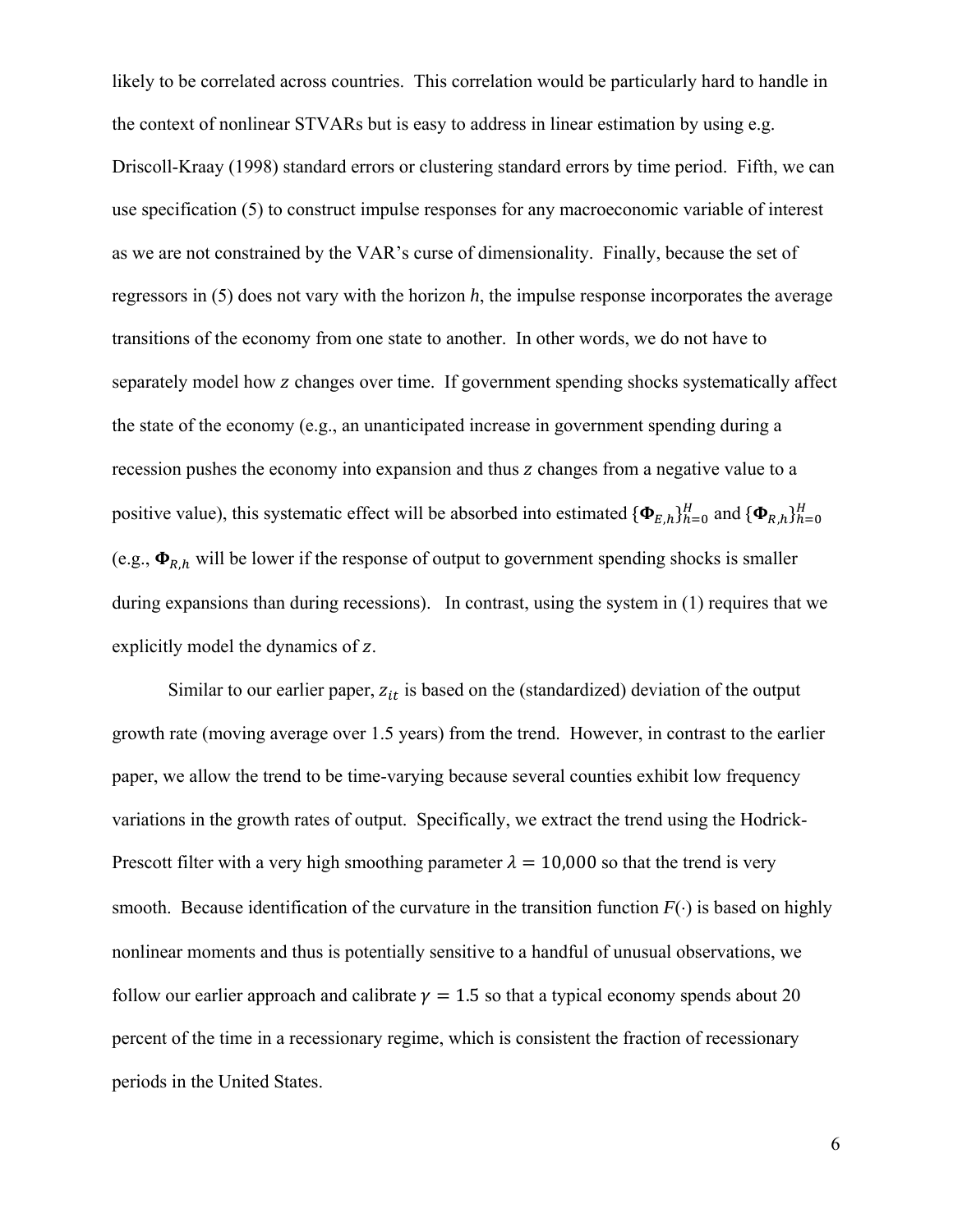likely to be correlated across countries. This correlation would be particularly hard to handle in the context of nonlinear STVARs but is easy to address in linear estimation by using e.g. Driscoll-Kraay (1998) standard errors or clustering standard errors by time period. Fifth, we can use specification (5) to construct impulse responses for any macroeconomic variable of interest as we are not constrained by the VAR's curse of dimensionality. Finally, because the set of regressors in (5) does not vary with the horizon *h*, the impulse response incorporates the average transitions of the economy from one state to another. In other words, we do not have to separately model how z changes over time. If government spending shocks systematically affect the state of the economy (e.g., an unanticipated increase in government spending during a recession pushes the economy into expansion and thus z changes from a negative value to a positive value), this systematic effect will be absorbed into estimated  ${\{\Phi_{E,h}\}}_{h=0}^H$  and  ${\{\Phi_{R,h}\}}_{h=0}^H$ (e.g.,  $\Phi_{R,h}$  will be lower if the response of output to government spending shocks is smaller during expansions than during recessions). In contrast, using the system in (1) requires that we explicitly model the dynamics of z.

Similar to our earlier paper,  $z_{it}$  is based on the (standardized) deviation of the output growth rate (moving average over 1.5 years) from the trend. However, in contrast to the earlier paper, we allow the trend to be time-varying because several counties exhibit low frequency variations in the growth rates of output. Specifically, we extract the trend using the Hodrick-Prescott filter with a very high smoothing parameter  $\lambda = 10,000$  so that the trend is very smooth. Because identification of the curvature in the transition function  $F(\cdot)$  is based on highly nonlinear moments and thus is potentially sensitive to a handful of unusual observations, we follow our earlier approach and calibrate  $\nu = 1.5$  so that a typical economy spends about 20 percent of the time in a recessionary regime, which is consistent the fraction of recessionary periods in the United States.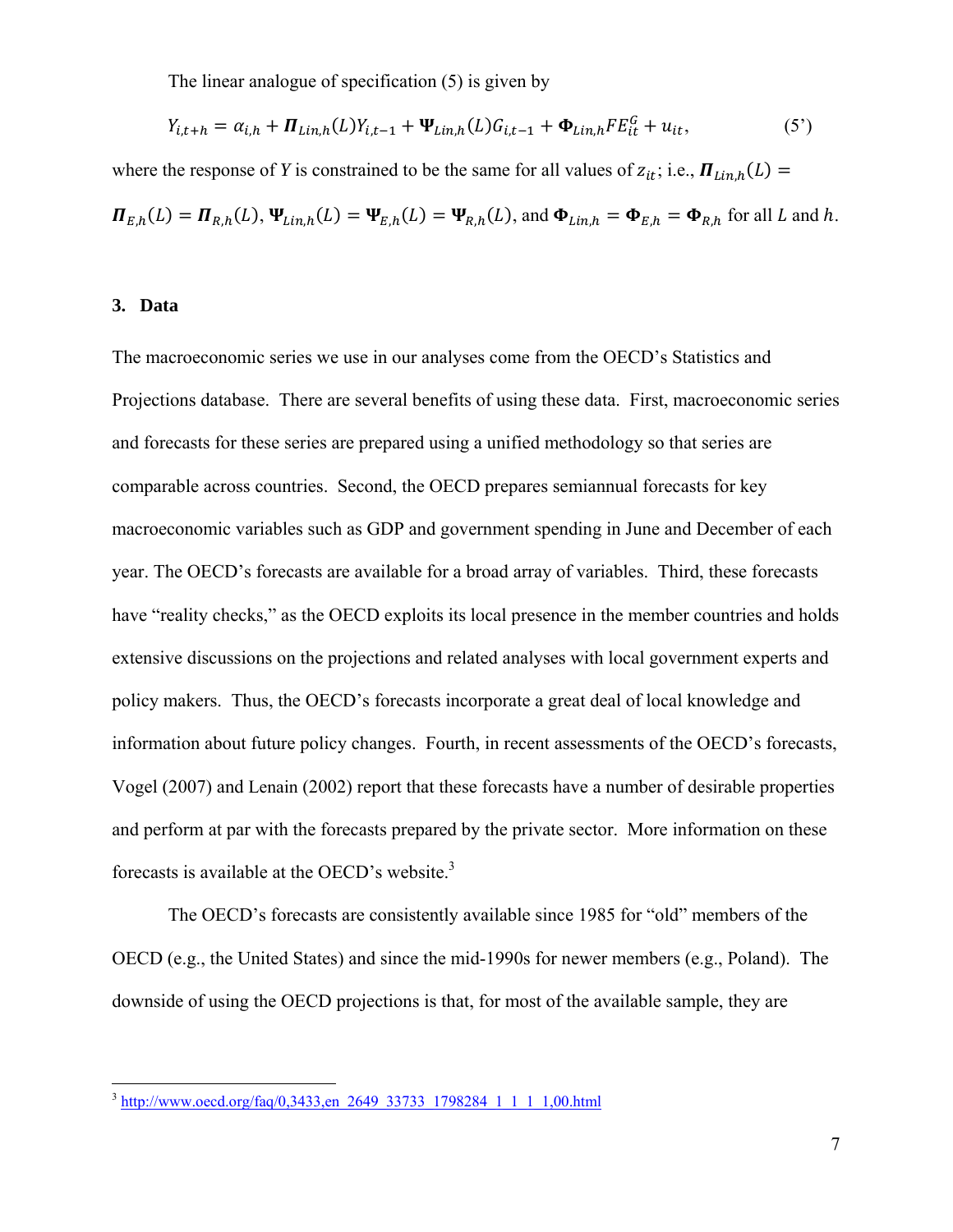The linear analogue of specification (5) is given by

$$
Y_{i,t+h} = \alpha_{i,h} + \mathbf{\Pi}_{Lin,h}(L)Y_{i,t-1} + \Psi_{Lin,h}(L)G_{i,t-1} + \Phi_{Lin,h}FE_{it}^G + u_{it},
$$
\n(5')

where the response of *Y* is constrained to be the same for all values of  $z_{it}$ ; i.e.,  $\mathbf{\Pi}_{Lin,h}(L)$  =

 $\Pi_{E,h}(L) = \Pi_{R,h}(L), \Psi_{Lin,h}(L) = \Psi_{E,h}(L) = \Psi_{R,h}(L), \text{ and } \Phi_{Lin,h} = \Phi_{E,h} = \Phi_{R,h}$  for all L and h.

#### **3. Data**

<u>.</u>

The macroeconomic series we use in our analyses come from the OECD's Statistics and Projections database. There are several benefits of using these data. First, macroeconomic series and forecasts for these series are prepared using a unified methodology so that series are comparable across countries. Second, the OECD prepares semiannual forecasts for key macroeconomic variables such as GDP and government spending in June and December of each year. The OECD's forecasts are available for a broad array of variables. Third, these forecasts have "reality checks," as the OECD exploits its local presence in the member countries and holds extensive discussions on the projections and related analyses with local government experts and policy makers. Thus, the OECD's forecasts incorporate a great deal of local knowledge and information about future policy changes. Fourth, in recent assessments of the OECD's forecasts, Vogel (2007) and Lenain (2002) report that these forecasts have a number of desirable properties and perform at par with the forecasts prepared by the private sector. More information on these forecasts is available at the OECD's website. $3$ 

The OECD's forecasts are consistently available since 1985 for "old" members of the OECD (e.g., the United States) and since the mid-1990s for newer members (e.g., Poland). The downside of using the OECD projections is that, for most of the available sample, they are

<sup>&</sup>lt;sup>3</sup> http://www.oecd.org/faq/0,3433,en\_2649\_33733\_1798284\_1\_1\_1\_1,00.html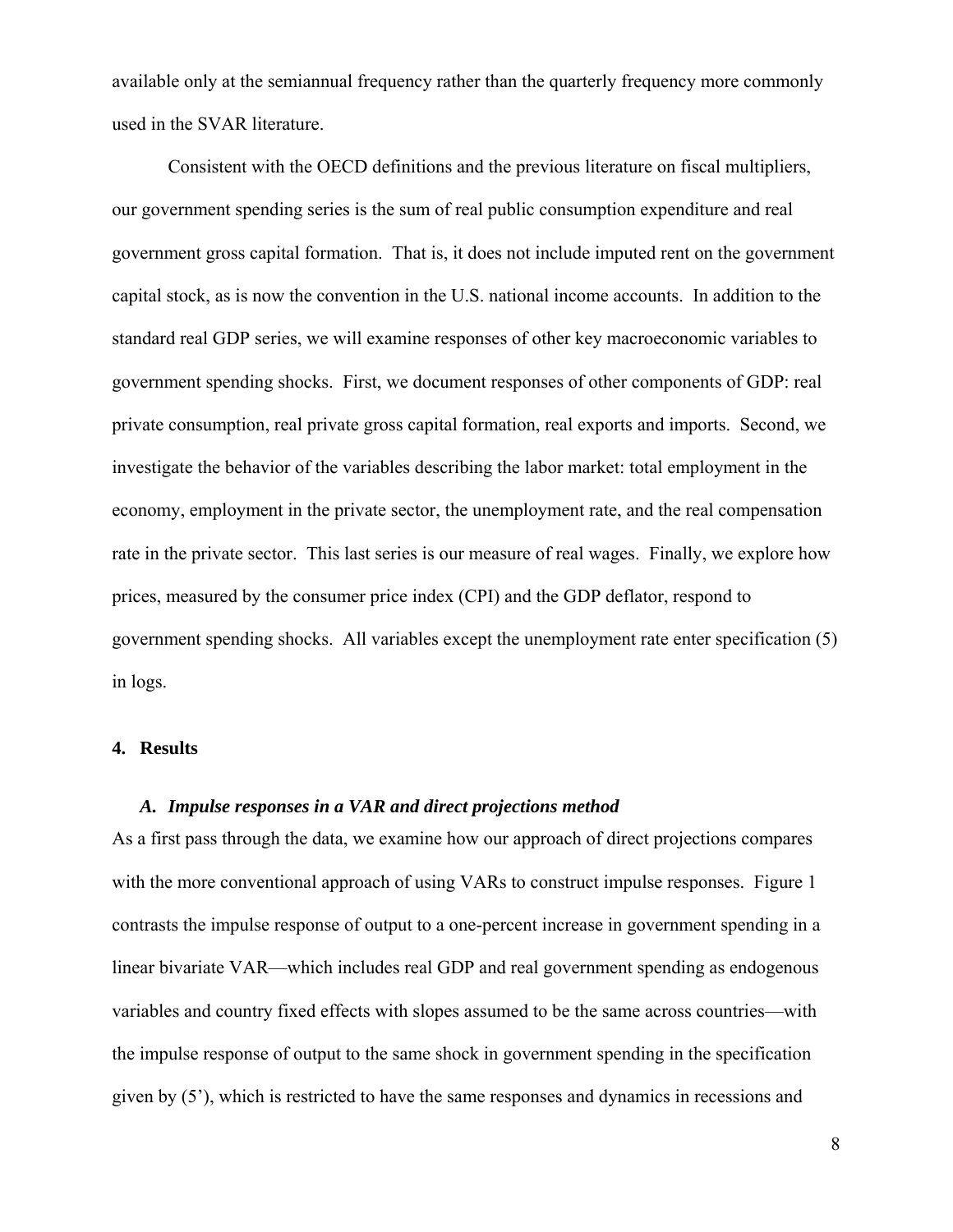available only at the semiannual frequency rather than the quarterly frequency more commonly used in the SVAR literature.

Consistent with the OECD definitions and the previous literature on fiscal multipliers, our government spending series is the sum of real public consumption expenditure and real government gross capital formation. That is, it does not include imputed rent on the government capital stock, as is now the convention in the U.S. national income accounts. In addition to the standard real GDP series, we will examine responses of other key macroeconomic variables to government spending shocks. First, we document responses of other components of GDP: real private consumption, real private gross capital formation, real exports and imports. Second, we investigate the behavior of the variables describing the labor market: total employment in the economy, employment in the private sector, the unemployment rate, and the real compensation rate in the private sector. This last series is our measure of real wages. Finally, we explore how prices, measured by the consumer price index (CPI) and the GDP deflator, respond to government spending shocks. All variables except the unemployment rate enter specification (5) in logs.

## **4. Results**

## *A. Impulse responses in a VAR and direct projections method*

As a first pass through the data, we examine how our approach of direct projections compares with the more conventional approach of using VARs to construct impulse responses. Figure 1 contrasts the impulse response of output to a one-percent increase in government spending in a linear bivariate VAR—which includes real GDP and real government spending as endogenous variables and country fixed effects with slopes assumed to be the same across countries—with the impulse response of output to the same shock in government spending in the specification given by (5'), which is restricted to have the same responses and dynamics in recessions and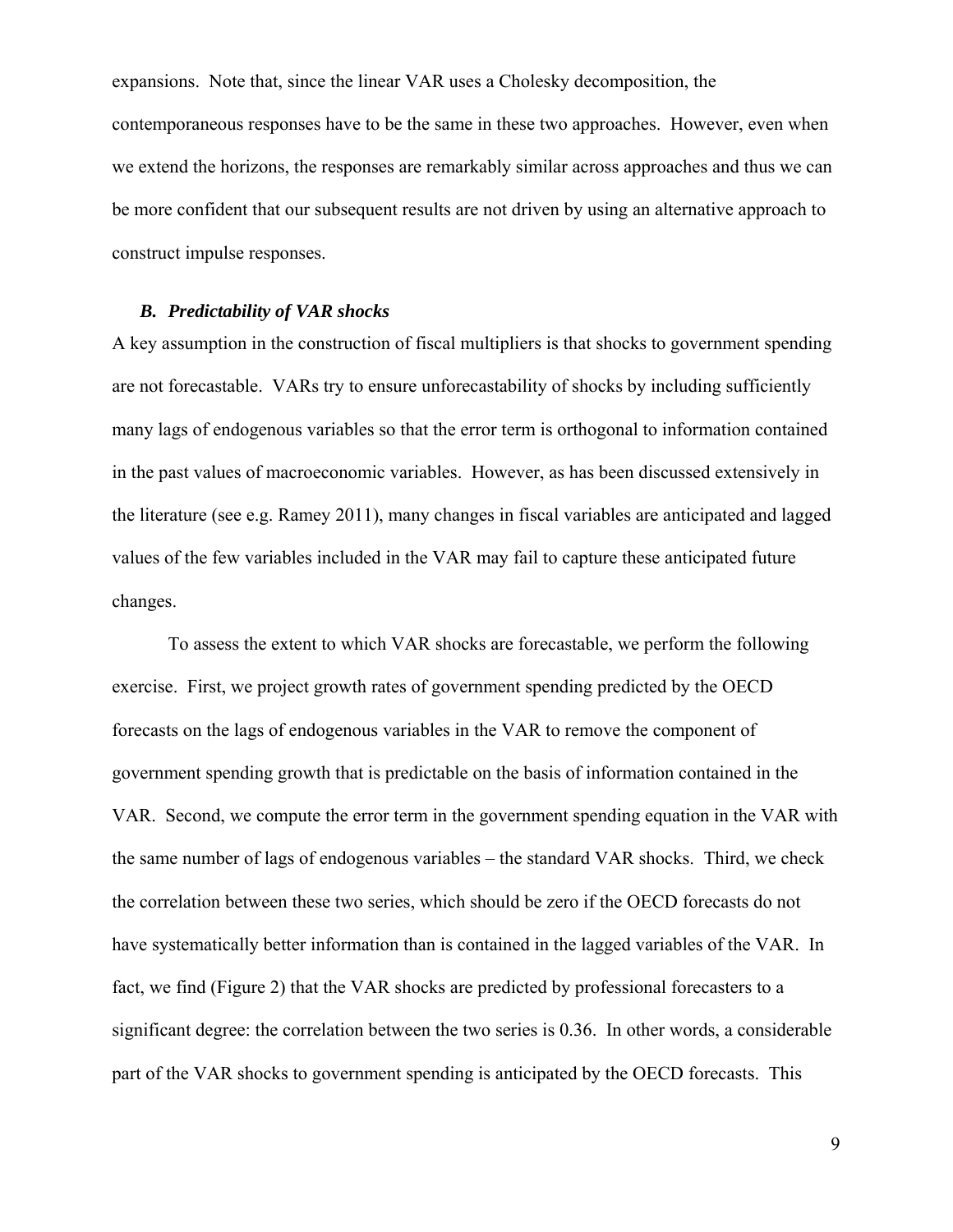expansions. Note that, since the linear VAR uses a Cholesky decomposition, the contemporaneous responses have to be the same in these two approaches. However, even when we extend the horizons, the responses are remarkably similar across approaches and thus we can be more confident that our subsequent results are not driven by using an alternative approach to construct impulse responses.

## *B. Predictability of VAR shocks*

A key assumption in the construction of fiscal multipliers is that shocks to government spending are not forecastable. VARs try to ensure unforecastability of shocks by including sufficiently many lags of endogenous variables so that the error term is orthogonal to information contained in the past values of macroeconomic variables. However, as has been discussed extensively in the literature (see e.g. Ramey 2011), many changes in fiscal variables are anticipated and lagged values of the few variables included in the VAR may fail to capture these anticipated future changes.

To assess the extent to which VAR shocks are forecastable, we perform the following exercise. First, we project growth rates of government spending predicted by the OECD forecasts on the lags of endogenous variables in the VAR to remove the component of government spending growth that is predictable on the basis of information contained in the VAR. Second, we compute the error term in the government spending equation in the VAR with the same number of lags of endogenous variables – the standard VAR shocks. Third, we check the correlation between these two series, which should be zero if the OECD forecasts do not have systematically better information than is contained in the lagged variables of the VAR. In fact, we find (Figure 2) that the VAR shocks are predicted by professional forecasters to a significant degree: the correlation between the two series is 0.36. In other words, a considerable part of the VAR shocks to government spending is anticipated by the OECD forecasts. This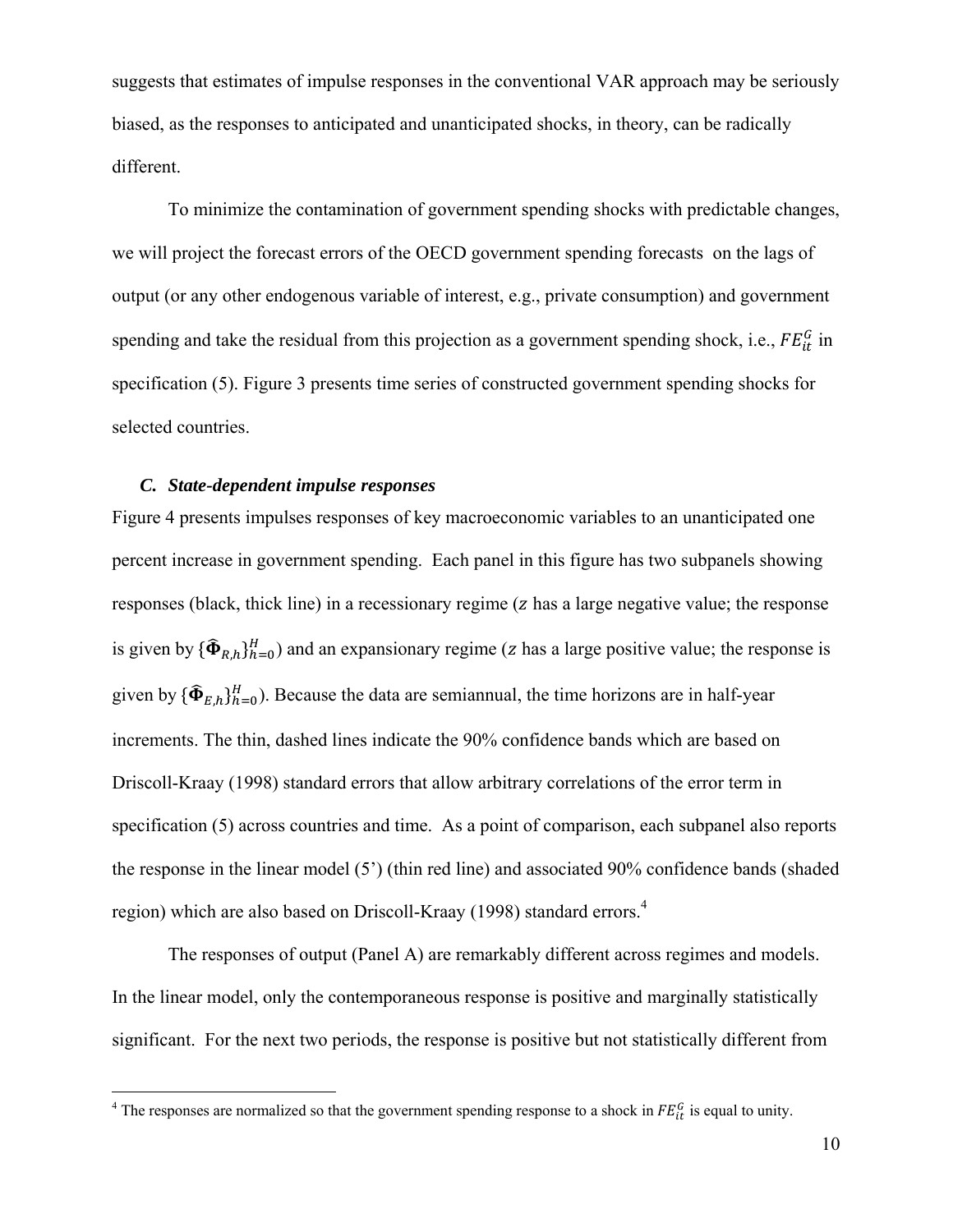suggests that estimates of impulse responses in the conventional VAR approach may be seriously biased, as the responses to anticipated and unanticipated shocks, in theory, can be radically different.

To minimize the contamination of government spending shocks with predictable changes, we will project the forecast errors of the OECD government spending forecasts on the lags of output (or any other endogenous variable of interest, e.g., private consumption) and government spending and take the residual from this projection as a government spending shock, i.e.,  $FE_{it}^G$  in specification (5). Figure 3 presents time series of constructed government spending shocks for selected countries.

#### *C. State-dependent impulse responses*

Figure 4 presents impulses responses of key macroeconomic variables to an unanticipated one percent increase in government spending. Each panel in this figure has two subpanels showing responses (black, thick line) in a recessionary regime (z has a large negative value; the response is given by  $\{\widehat{\Phi}_{R,h}\}_{h=0}^H$  and an expansionary regime (z has a large positive value; the response is given by  ${\{\widehat{\Phi}_{E,h}\}_{h=0}^{H}}$ ). Because the data are semiannual, the time horizons are in half-year increments. The thin, dashed lines indicate the 90% confidence bands which are based on Driscoll-Kraay (1998) standard errors that allow arbitrary correlations of the error term in specification (5) across countries and time. As a point of comparison, each subpanel also reports the response in the linear model (5') (thin red line) and associated 90% confidence bands (shaded region) which are also based on Driscoll-Kraay (1998) standard errors.<sup>4</sup>

The responses of output (Panel A) are remarkably different across regimes and models. In the linear model, only the contemporaneous response is positive and marginally statistically significant. For the next two periods, the response is positive but not statistically different from

<sup>&</sup>lt;sup>4</sup> The responses are normalized so that the government spending response to a shock in  $FE_{tt}^G$  is equal to unity.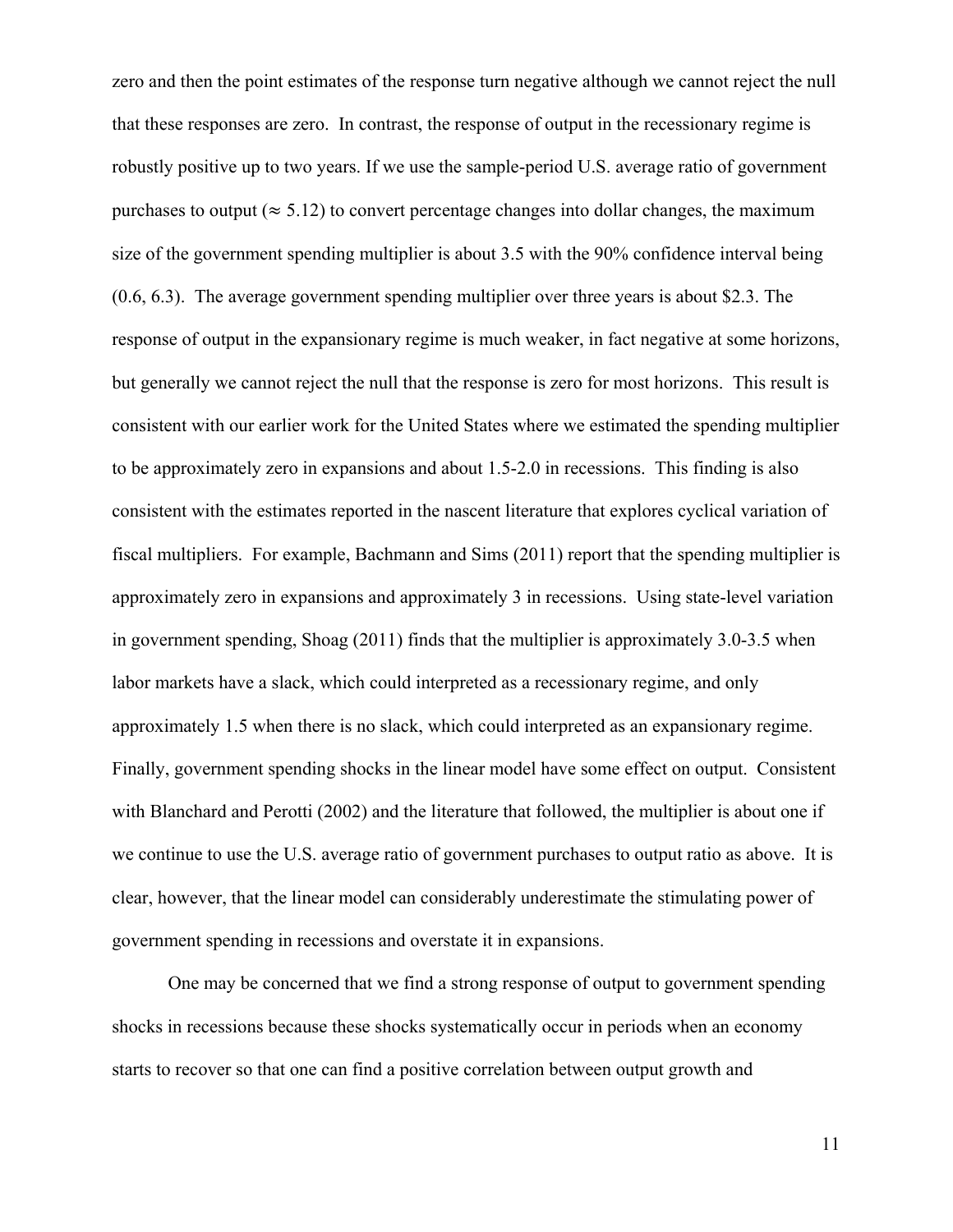zero and then the point estimates of the response turn negative although we cannot reject the null that these responses are zero. In contrast, the response of output in the recessionary regime is robustly positive up to two years. If we use the sample-period U.S. average ratio of government purchases to output ( $\approx$  5.12) to convert percentage changes into dollar changes, the maximum size of the government spending multiplier is about 3.5 with the 90% confidence interval being (0.6, 6.3). The average government spending multiplier over three years is about \$2.3. The response of output in the expansionary regime is much weaker, in fact negative at some horizons, but generally we cannot reject the null that the response is zero for most horizons. This result is consistent with our earlier work for the United States where we estimated the spending multiplier to be approximately zero in expansions and about 1.5-2.0 in recessions. This finding is also consistent with the estimates reported in the nascent literature that explores cyclical variation of fiscal multipliers. For example, Bachmann and Sims (2011) report that the spending multiplier is approximately zero in expansions and approximately 3 in recessions. Using state-level variation in government spending, Shoag (2011) finds that the multiplier is approximately 3.0-3.5 when labor markets have a slack, which could interpreted as a recessionary regime, and only approximately 1.5 when there is no slack, which could interpreted as an expansionary regime. Finally, government spending shocks in the linear model have some effect on output. Consistent with Blanchard and Perotti (2002) and the literature that followed, the multiplier is about one if we continue to use the U.S. average ratio of government purchases to output ratio as above. It is clear, however, that the linear model can considerably underestimate the stimulating power of government spending in recessions and overstate it in expansions.

One may be concerned that we find a strong response of output to government spending shocks in recessions because these shocks systematically occur in periods when an economy starts to recover so that one can find a positive correlation between output growth and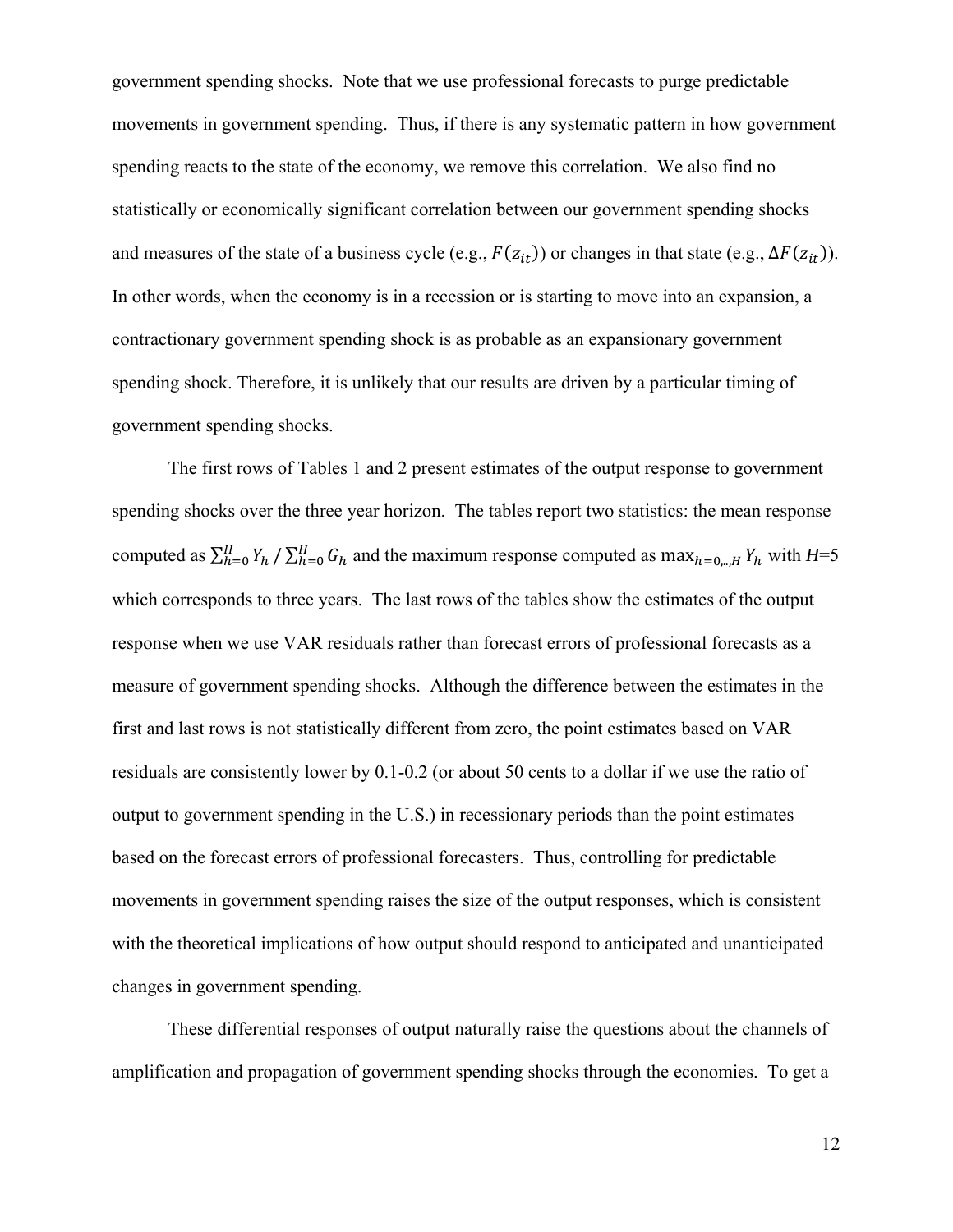government spending shocks. Note that we use professional forecasts to purge predictable movements in government spending. Thus, if there is any systematic pattern in how government spending reacts to the state of the economy, we remove this correlation. We also find no statistically or economically significant correlation between our government spending shocks and measures of the state of a business cycle (e.g.,  $F(z_{it})$ ) or changes in that state (e.g.,  $\Delta F(z_{it})$ ). In other words, when the economy is in a recession or is starting to move into an expansion, a contractionary government spending shock is as probable as an expansionary government spending shock. Therefore, it is unlikely that our results are driven by a particular timing of government spending shocks.

The first rows of Tables 1 and 2 present estimates of the output response to government spending shocks over the three year horizon. The tables report two statistics: the mean response computed as  $\sum_{h=0}^{H} Y_h / \sum_{h=0}^{H} G_h$  and the maximum response computed as max<sub>h=0,..,H</sub>  $Y_h$  with  $H=5$ which corresponds to three years. The last rows of the tables show the estimates of the output response when we use VAR residuals rather than forecast errors of professional forecasts as a measure of government spending shocks. Although the difference between the estimates in the first and last rows is not statistically different from zero, the point estimates based on VAR residuals are consistently lower by 0.1-0.2 (or about 50 cents to a dollar if we use the ratio of output to government spending in the U.S.) in recessionary periods than the point estimates based on the forecast errors of professional forecasters. Thus, controlling for predictable movements in government spending raises the size of the output responses, which is consistent with the theoretical implications of how output should respond to anticipated and unanticipated changes in government spending.

These differential responses of output naturally raise the questions about the channels of amplification and propagation of government spending shocks through the economies. To get a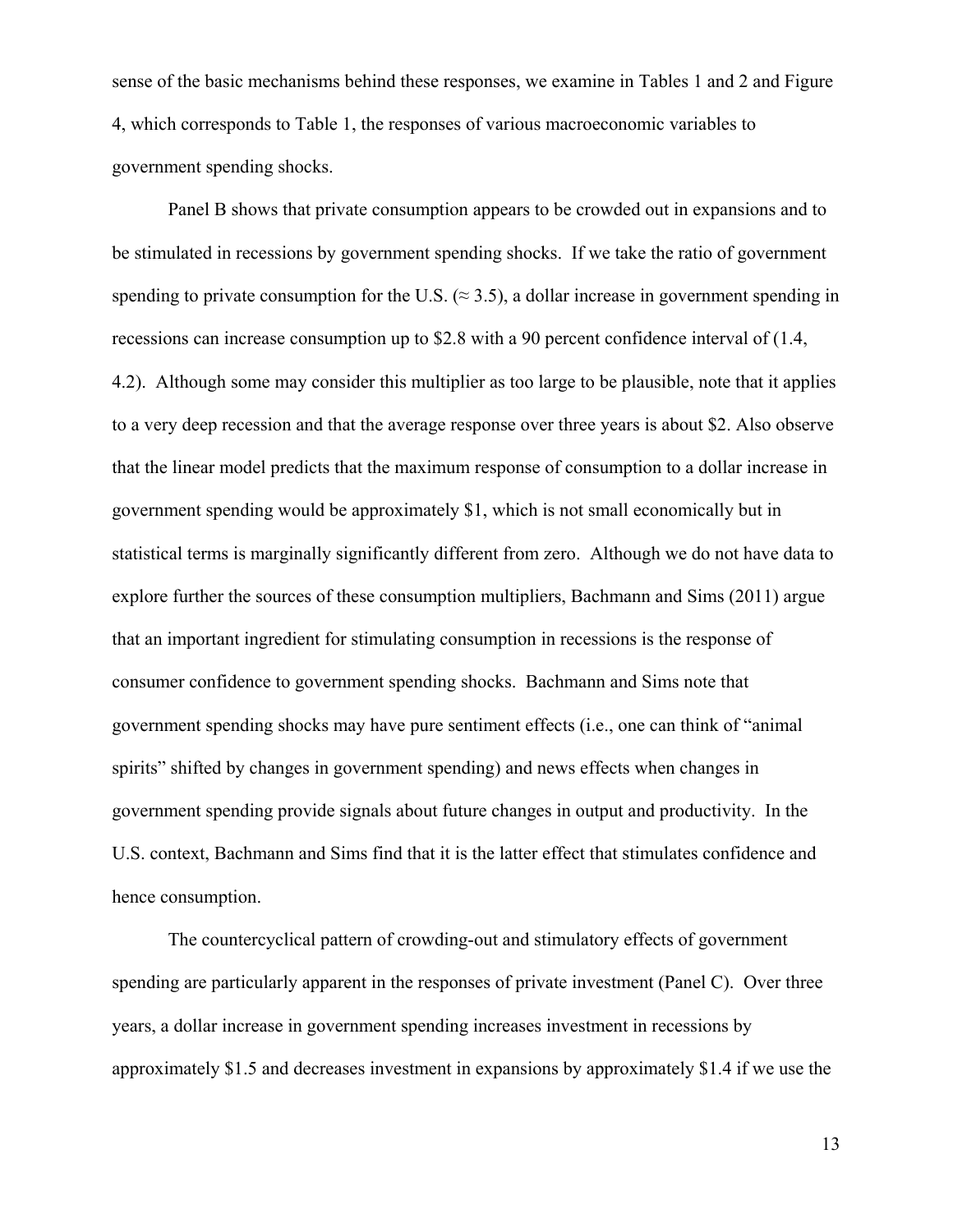sense of the basic mechanisms behind these responses, we examine in Tables 1 and 2 and Figure 4, which corresponds to Table 1, the responses of various macroeconomic variables to government spending shocks.

Panel B shows that private consumption appears to be crowded out in expansions and to be stimulated in recessions by government spending shocks. If we take the ratio of government spending to private consumption for the U.S. ( $\approx$  3.5), a dollar increase in government spending in recessions can increase consumption up to \$2.8 with a 90 percent confidence interval of (1.4, 4.2). Although some may consider this multiplier as too large to be plausible, note that it applies to a very deep recession and that the average response over three years is about \$2. Also observe that the linear model predicts that the maximum response of consumption to a dollar increase in government spending would be approximately \$1, which is not small economically but in statistical terms is marginally significantly different from zero. Although we do not have data to explore further the sources of these consumption multipliers, Bachmann and Sims (2011) argue that an important ingredient for stimulating consumption in recessions is the response of consumer confidence to government spending shocks. Bachmann and Sims note that government spending shocks may have pure sentiment effects (i.e., one can think of "animal spirits" shifted by changes in government spending) and news effects when changes in government spending provide signals about future changes in output and productivity. In the U.S. context, Bachmann and Sims find that it is the latter effect that stimulates confidence and hence consumption.

The countercyclical pattern of crowding-out and stimulatory effects of government spending are particularly apparent in the responses of private investment (Panel C). Over three years, a dollar increase in government spending increases investment in recessions by approximately \$1.5 and decreases investment in expansions by approximately \$1.4 if we use the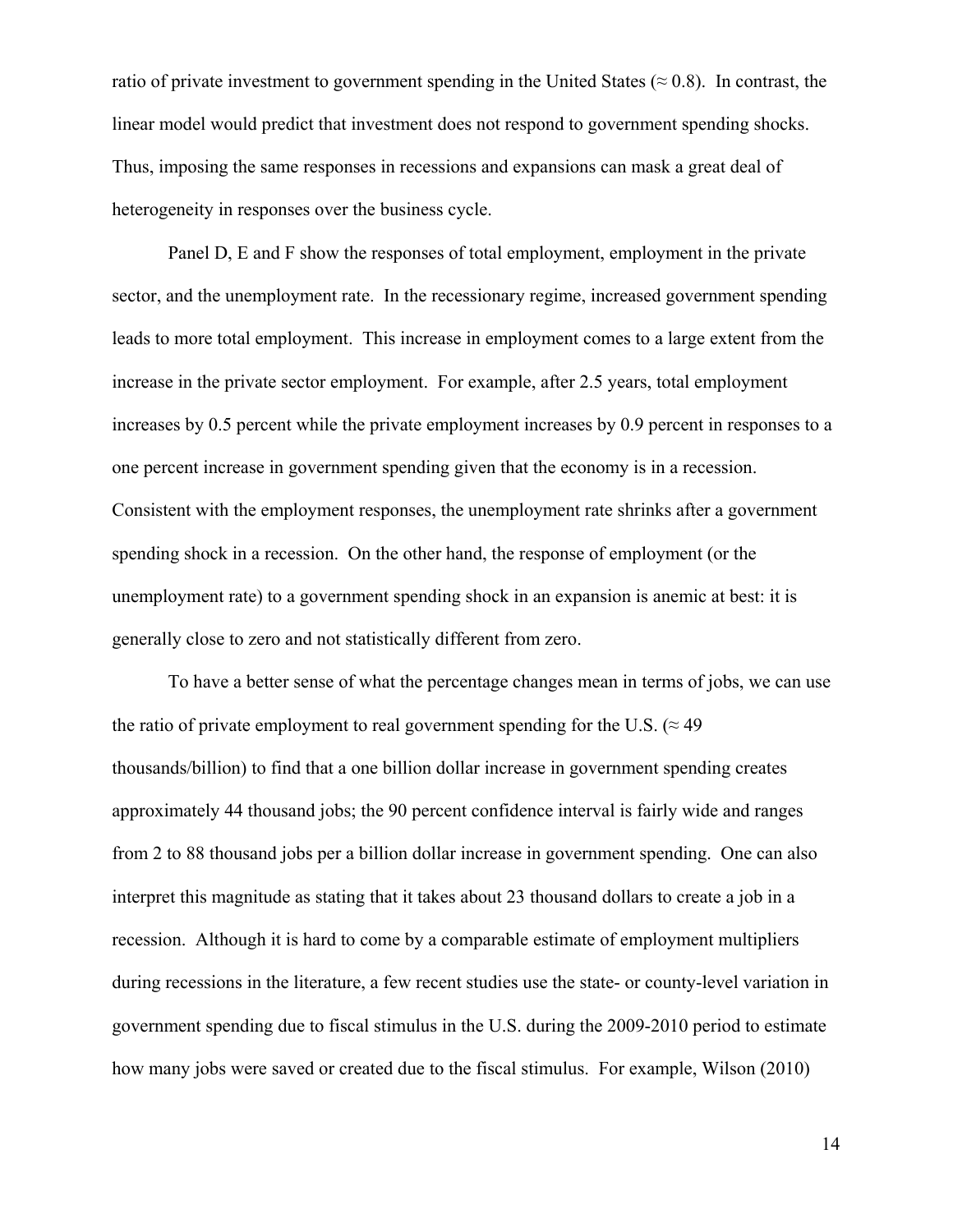ratio of private investment to government spending in the United States ( $\approx 0.8$ ). In contrast, the linear model would predict that investment does not respond to government spending shocks. Thus, imposing the same responses in recessions and expansions can mask a great deal of heterogeneity in responses over the business cycle.

Panel D, E and F show the responses of total employment, employment in the private sector, and the unemployment rate. In the recessionary regime, increased government spending leads to more total employment. This increase in employment comes to a large extent from the increase in the private sector employment. For example, after 2.5 years, total employment increases by 0.5 percent while the private employment increases by 0.9 percent in responses to a one percent increase in government spending given that the economy is in a recession. Consistent with the employment responses, the unemployment rate shrinks after a government spending shock in a recession. On the other hand, the response of employment (or the unemployment rate) to a government spending shock in an expansion is anemic at best: it is generally close to zero and not statistically different from zero.

To have a better sense of what the percentage changes mean in terms of jobs, we can use the ratio of private employment to real government spending for the U.S. ( $\approx$  49 thousands/billion) to find that a one billion dollar increase in government spending creates approximately 44 thousand jobs; the 90 percent confidence interval is fairly wide and ranges from 2 to 88 thousand jobs per a billion dollar increase in government spending. One can also interpret this magnitude as stating that it takes about 23 thousand dollars to create a job in a recession. Although it is hard to come by a comparable estimate of employment multipliers during recessions in the literature, a few recent studies use the state- or county-level variation in government spending due to fiscal stimulus in the U.S. during the 2009-2010 period to estimate how many jobs were saved or created due to the fiscal stimulus. For example, Wilson (2010)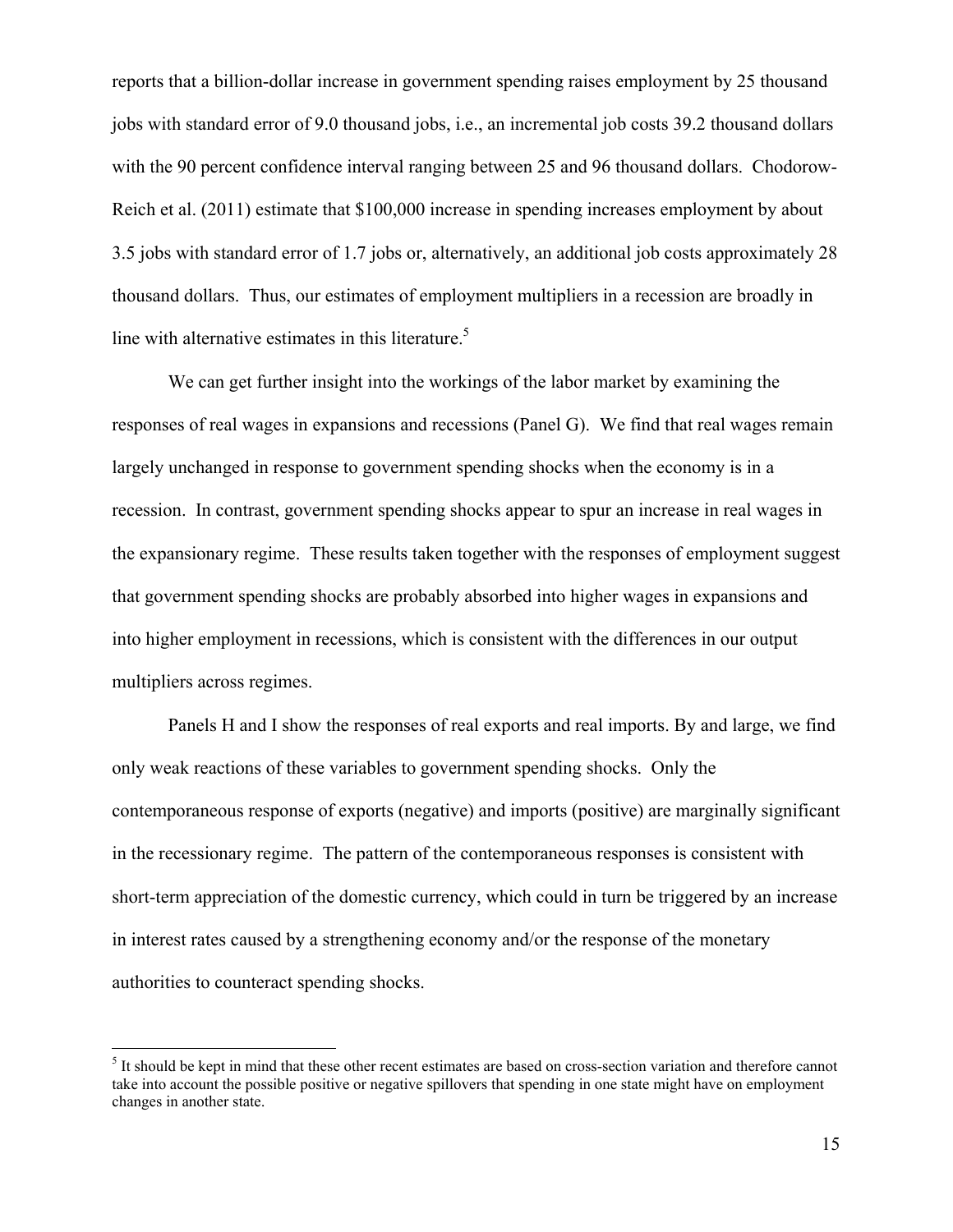reports that a billion-dollar increase in government spending raises employment by 25 thousand jobs with standard error of 9.0 thousand jobs, i.e., an incremental job costs 39.2 thousand dollars with the 90 percent confidence interval ranging between 25 and 96 thousand dollars. Chodorow-Reich et al. (2011) estimate that \$100,000 increase in spending increases employment by about 3.5 jobs with standard error of 1.7 jobs or, alternatively, an additional job costs approximately 28 thousand dollars. Thus, our estimates of employment multipliers in a recession are broadly in line with alternative estimates in this literature.<sup>5</sup>

We can get further insight into the workings of the labor market by examining the responses of real wages in expansions and recessions (Panel G). We find that real wages remain largely unchanged in response to government spending shocks when the economy is in a recession. In contrast, government spending shocks appear to spur an increase in real wages in the expansionary regime. These results taken together with the responses of employment suggest that government spending shocks are probably absorbed into higher wages in expansions and into higher employment in recessions, which is consistent with the differences in our output multipliers across regimes.

Panels H and I show the responses of real exports and real imports. By and large, we find only weak reactions of these variables to government spending shocks. Only the contemporaneous response of exports (negative) and imports (positive) are marginally significant in the recessionary regime. The pattern of the contemporaneous responses is consistent with short-term appreciation of the domestic currency, which could in turn be triggered by an increase in interest rates caused by a strengthening economy and/or the response of the monetary authorities to counteract spending shocks.

 $\overline{a}$ 

<sup>&</sup>lt;sup>5</sup> It should be kept in mind that these other recent estimates are based on cross-section variation and therefore cannot take into account the possible positive or negative spillovers that spending in one state might have on employment changes in another state.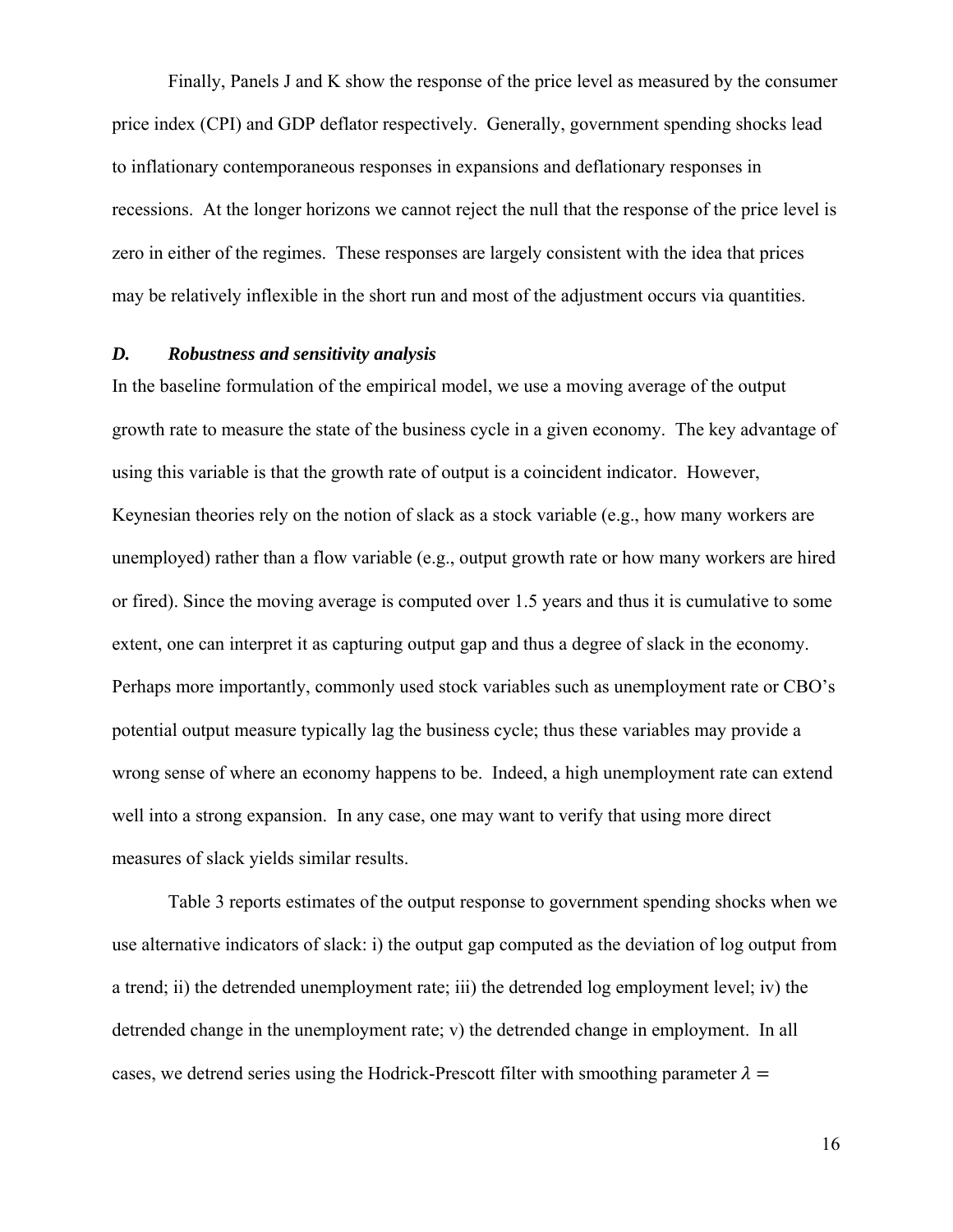Finally, Panels J and K show the response of the price level as measured by the consumer price index (CPI) and GDP deflator respectively. Generally, government spending shocks lead to inflationary contemporaneous responses in expansions and deflationary responses in recessions. At the longer horizons we cannot reject the null that the response of the price level is zero in either of the regimes. These responses are largely consistent with the idea that prices may be relatively inflexible in the short run and most of the adjustment occurs via quantities.

## *D. Robustness and sensitivity analysis*

In the baseline formulation of the empirical model, we use a moving average of the output growth rate to measure the state of the business cycle in a given economy. The key advantage of using this variable is that the growth rate of output is a coincident indicator. However, Keynesian theories rely on the notion of slack as a stock variable (e.g., how many workers are unemployed) rather than a flow variable (e.g., output growth rate or how many workers are hired or fired). Since the moving average is computed over 1.5 years and thus it is cumulative to some extent, one can interpret it as capturing output gap and thus a degree of slack in the economy. Perhaps more importantly, commonly used stock variables such as unemployment rate or CBO's potential output measure typically lag the business cycle; thus these variables may provide a wrong sense of where an economy happens to be. Indeed, a high unemployment rate can extend well into a strong expansion. In any case, one may want to verify that using more direct measures of slack yields similar results.

 Table 3 reports estimates of the output response to government spending shocks when we use alternative indicators of slack: i) the output gap computed as the deviation of log output from a trend; ii) the detrended unemployment rate; iii) the detrended log employment level; iv) the detrended change in the unemployment rate; v) the detrended change in employment. In all cases, we detrend series using the Hodrick-Prescott filter with smoothing parameter  $\lambda =$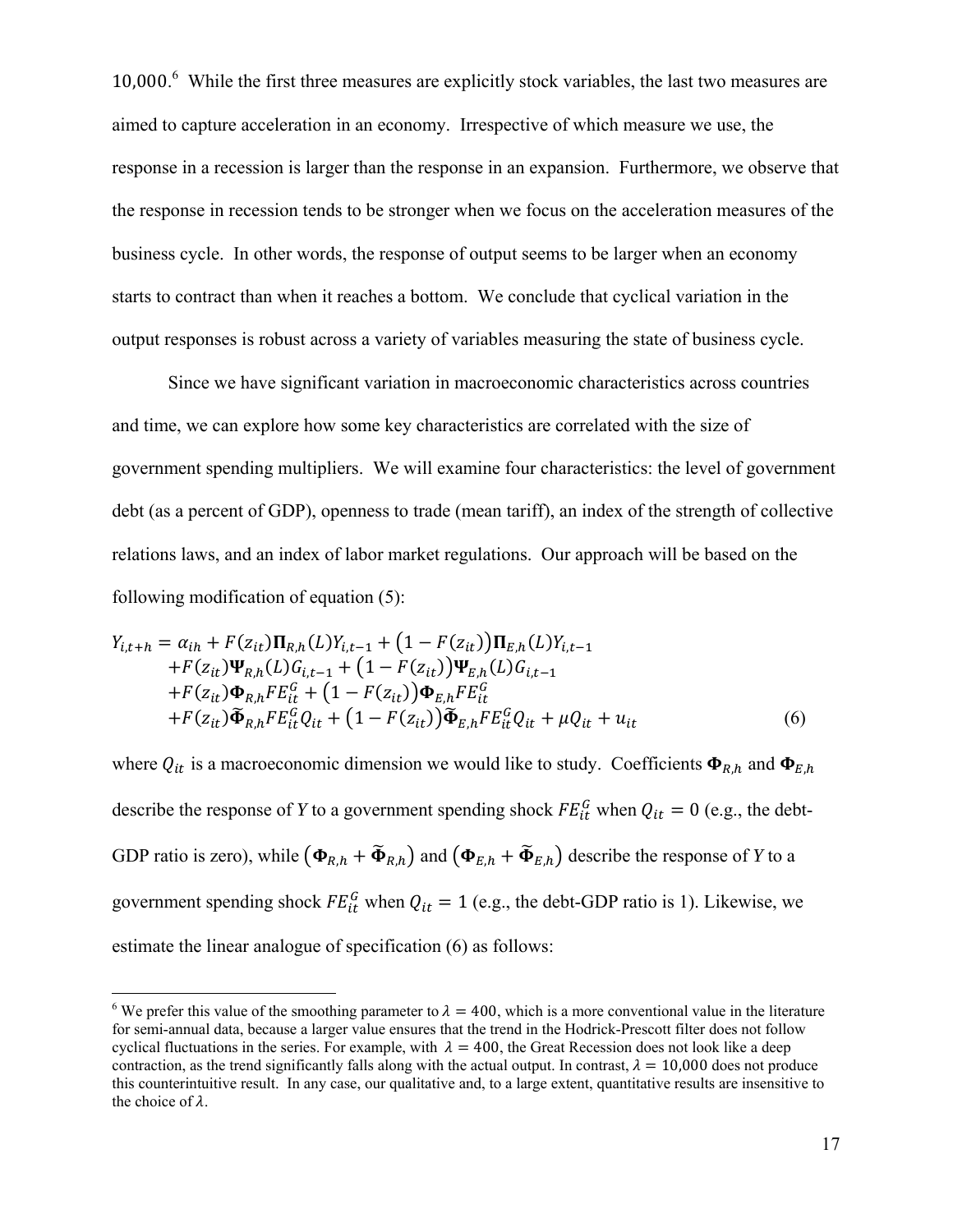10,000. 6 While the first three measures are explicitly stock variables, the last two measures are aimed to capture acceleration in an economy. Irrespective of which measure we use, the response in a recession is larger than the response in an expansion. Furthermore, we observe that the response in recession tends to be stronger when we focus on the acceleration measures of the business cycle. In other words, the response of output seems to be larger when an economy starts to contract than when it reaches a bottom. We conclude that cyclical variation in the output responses is robust across a variety of variables measuring the state of business cycle.

 Since we have significant variation in macroeconomic characteristics across countries and time, we can explore how some key characteristics are correlated with the size of government spending multipliers. We will examine four characteristics: the level of government debt (as a percent of GDP), openness to trade (mean tariff), an index of the strength of collective relations laws, and an index of labor market regulations. Our approach will be based on the following modification of equation (5):

$$
Y_{i,t+h} = \alpha_{ih} + F(z_{it})\Pi_{R,h}(L)Y_{i,t-1} + (1 - F(z_{it}))\Pi_{E,h}(L)Y_{i,t-1} + F(z_{it})\Psi_{R,h}(L)G_{i,t-1} + (1 - F(z_{it}))\Psi_{E,h}(L)G_{i,t-1} + F(z_{it})\Phi_{R,h}FE_{it}^G + (1 - F(z_{it}))\Phi_{E,h}FE_{it}^G + F(z_{it})\widetilde{\Phi}_{R,h}FE_{it}^GQ_{it} + (1 - F(z_{it}))\widetilde{\Phi}_{E,h}FE_{it}^GQ_{it} + \mu Q_{it} + u_{it}
$$
(6)

where  $Q_{it}$  is a macroeconomic dimension we would like to study. Coefficients  $\Phi_{R,h}$  and  $\Phi_{E,h}$ describe the response of *Y* to a government spending shock  $FE<sup>G</sup><sub>it</sub>$  when  $Q<sub>it</sub> = 0$  (e.g., the debt-GDP ratio is zero), while  $(\Phi_{R,h} + \tilde{\Phi}_{R,h})$  and  $(\Phi_{E,h} + \tilde{\Phi}_{E,h})$  describe the response of *Y* to a government spending shock  $FE_{it}^G$  when  $Q_{it} = 1$  (e.g., the debt-GDP ratio is 1). Likewise, we estimate the linear analogue of specification (6) as follows:

 $\overline{a}$ 

<sup>&</sup>lt;sup>6</sup> We prefer this value of the smoothing parameter to  $\lambda = 400$ , which is a more conventional value in the literature for semi-annual data, because a larger value ensures that the trend in the Hodrick-Prescott filter does not follow cyclical fluctuations in the series. For example, with  $\lambda = 400$ , the Great Recession does not look like a deep contraction, as the trend significantly falls along with the actual output. In contrast,  $\lambda = 10,000$  does not produce this counterintuitive result. In any case, our qualitative and, to a large extent, quantitative results are insensitive to the choice of  $\lambda$ .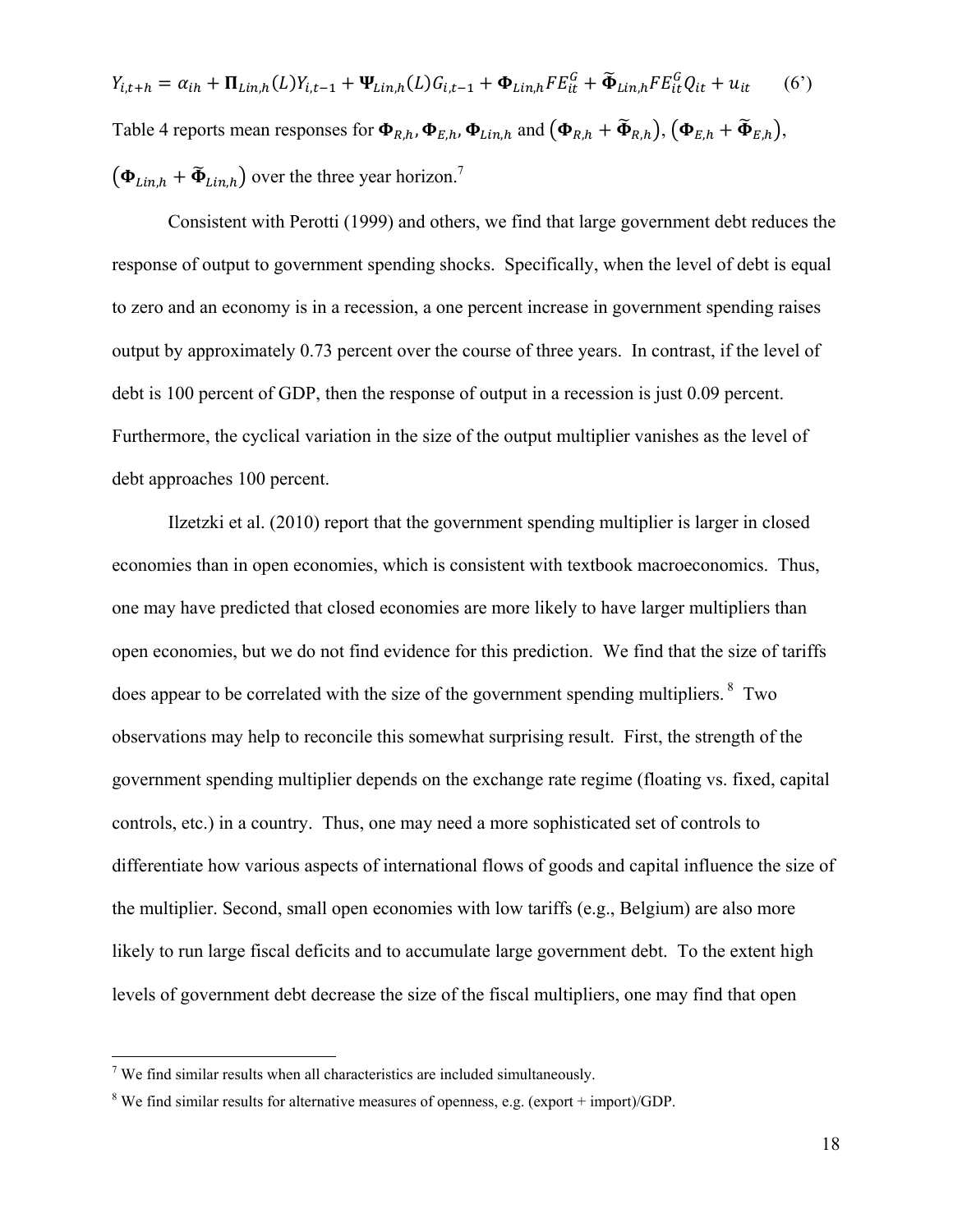$Y_{i,t+h} = \alpha_{ih} + \Pi_{Lin,h}(L)Y_{i,t-1} + \Psi_{Lin,h}(L)G_{i,t-1} + \Phi_{Lin,h}FE_{it}^G + \tilde{\Phi}_{Lin,h}FE_{it}^GQ_{it} + u_{it}$  (6') Table 4 reports mean responses for  $\Phi_{R,h}$ ,  $\Phi_{E,h}$ ,  $\Phi_{Lin}$ , and  $(\Phi_{R,h} + \widetilde{\Phi}_{R,h})$ ,  $(\Phi_{E,h} + \widetilde{\Phi}_{E,h})$ ,  $(\boldsymbol{\Phi}_{\text{Lin},h} + \boldsymbol{\tilde{\Phi}}_{\text{Lin},h})$  over the three year horizon.<sup>7</sup>

 Consistent with Perotti (1999) and others, we find that large government debt reduces the response of output to government spending shocks. Specifically, when the level of debt is equal to zero and an economy is in a recession, a one percent increase in government spending raises output by approximately 0.73 percent over the course of three years. In contrast, if the level of debt is 100 percent of GDP, then the response of output in a recession is just 0.09 percent. Furthermore, the cyclical variation in the size of the output multiplier vanishes as the level of debt approaches 100 percent.

 Ilzetzki et al. (2010) report that the government spending multiplier is larger in closed economies than in open economies, which is consistent with textbook macroeconomics. Thus, one may have predicted that closed economies are more likely to have larger multipliers than open economies, but we do not find evidence for this prediction. We find that the size of tariffs does appear to be correlated with the size of the government spending multipliers. <sup>8</sup> Two observations may help to reconcile this somewhat surprising result. First, the strength of the government spending multiplier depends on the exchange rate regime (floating vs. fixed, capital controls, etc.) in a country. Thus, one may need a more sophisticated set of controls to differentiate how various aspects of international flows of goods and capital influence the size of the multiplier. Second, small open economies with low tariffs (e.g., Belgium) are also more likely to run large fiscal deficits and to accumulate large government debt. To the extent high levels of government debt decrease the size of the fiscal multipliers, one may find that open

 $\overline{a}$ 

<sup>&</sup>lt;sup>7</sup> We find similar results when all characteristics are included simultaneously.

 $8$  We find similar results for alternative measures of openness, e.g. (export + import)/GDP.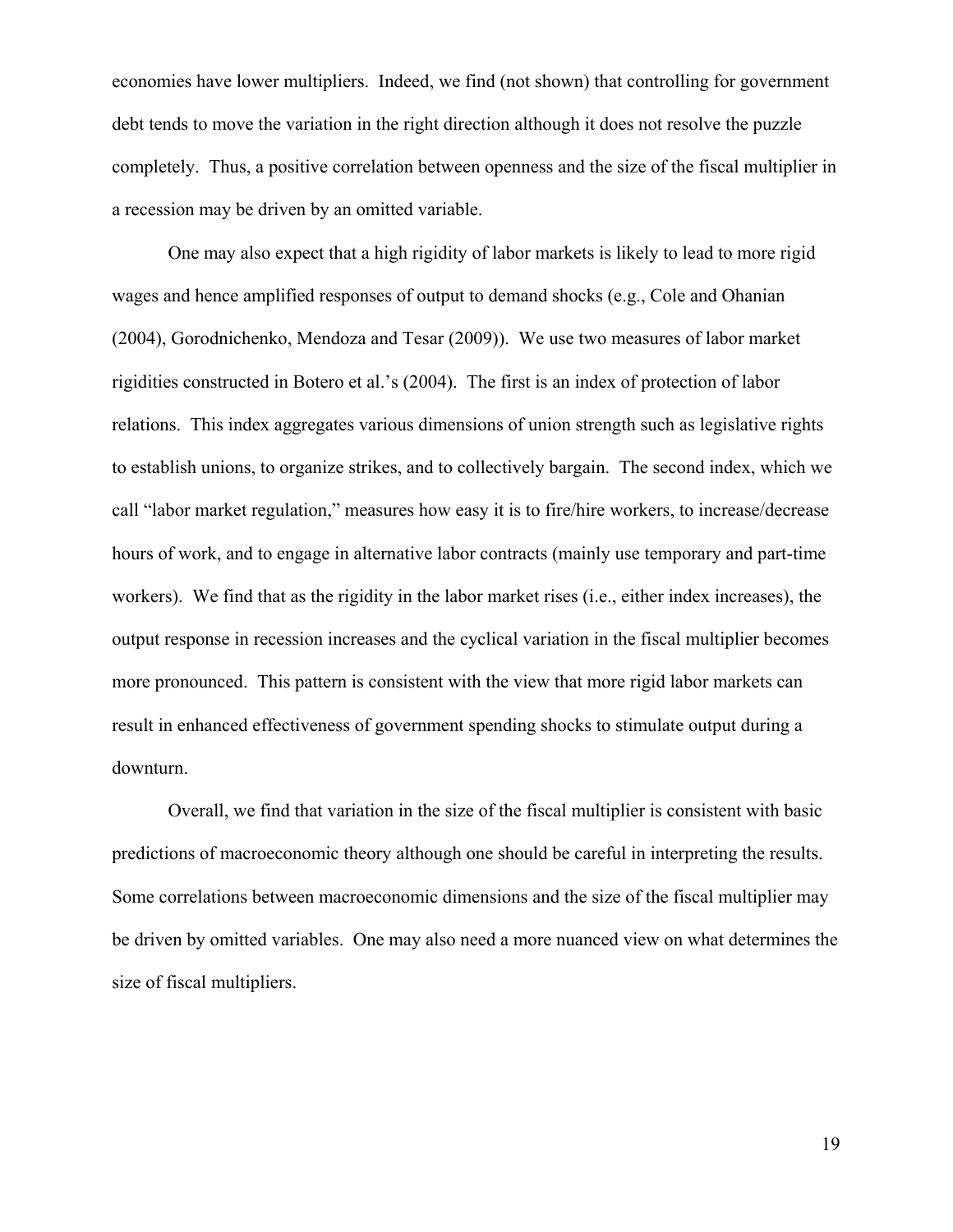economies have lower multipliers. Indeed, we find (not shown) that controlling for government debt tends to move the variation in the right direction although it does not resolve the puzzle completely. Thus, a positive correlation between openness and the size of the fiscal multiplier in a recession may be driven by an omitted variable.

One may also expect that a high rigidity of labor markets is likely to lead to more rigid wages and hence amplified responses of output to demand shocks (e.g., Cole and Ohanian (2004), Gorodnichenko, Mendoza and Tesar (2009)). We use two measures of labor market rigidities constructed in Botero et al.'s (2004). The first is an index of protection of labor relations. This index aggregates various dimensions of union strength such as legislative rights to establish unions, to organize strikes, and to collectively bargain. The second index, which we call "labor market regulation," measures how easy it is to fire/hire workers, to increase/decrease hours of work, and to engage in alternative labor contracts (mainly use temporary and part-time workers). We find that as the rigidity in the labor market rises (i.e., either index increases), the output response in recession increases and the cyclical variation in the fiscal multiplier becomes more pronounced. This pattern is consistent with the view that more rigid labor markets can result in enhanced effectiveness of government spending shocks to stimulate output during a downturn.

Overall, we find that variation in the size of the fiscal multiplier is consistent with basic predictions of macroeconomic theory although one should be careful in interpreting the results. Some correlations between macroeconomic dimensions and the size of the fiscal multiplier may be driven by omitted variables. One may also need a more nuanced view on what determines the size of fiscal multipliers.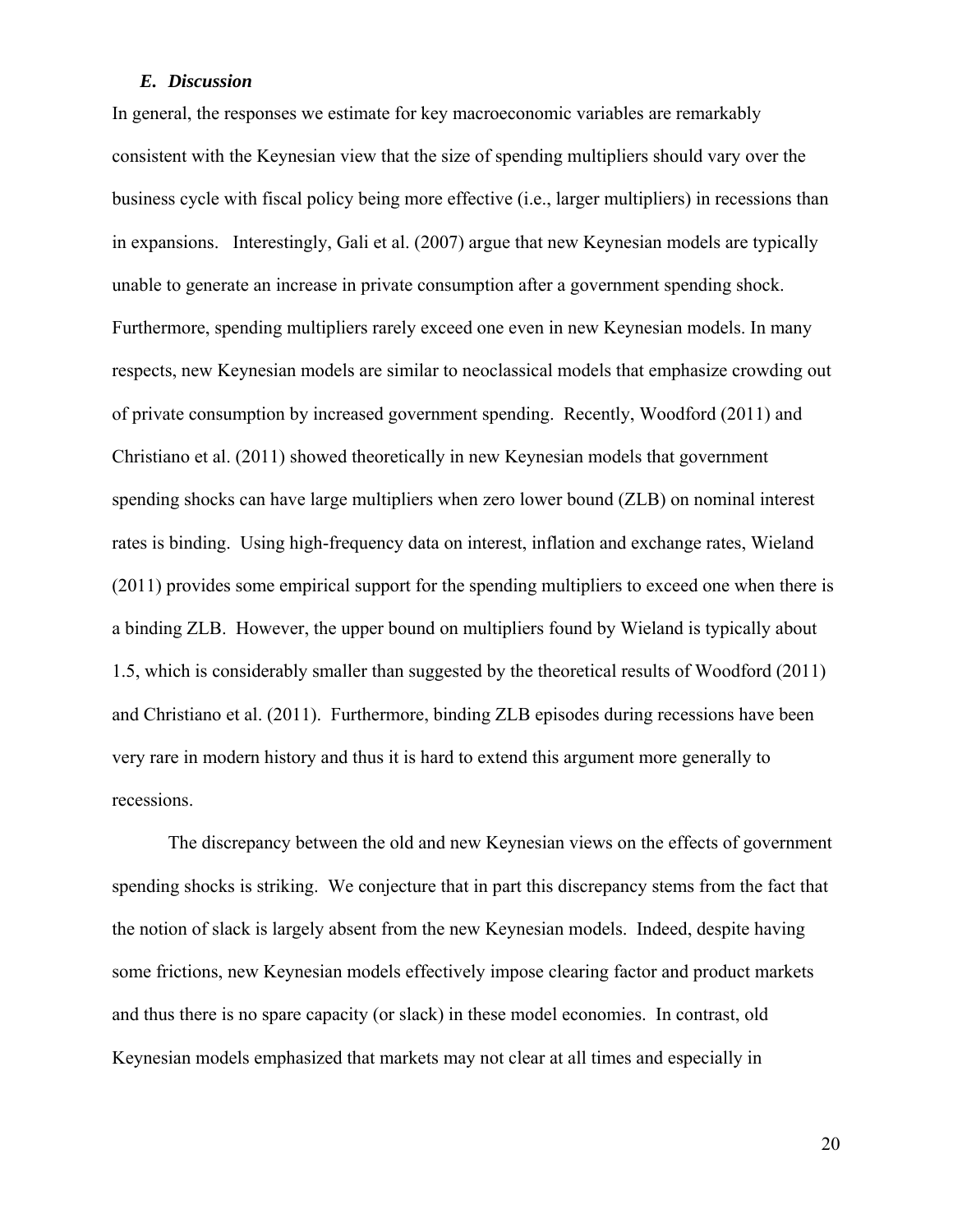## *E. Discussion*

In general, the responses we estimate for key macroeconomic variables are remarkably consistent with the Keynesian view that the size of spending multipliers should vary over the business cycle with fiscal policy being more effective (i.e., larger multipliers) in recessions than in expansions. Interestingly, Gali et al. (2007) argue that new Keynesian models are typically unable to generate an increase in private consumption after a government spending shock. Furthermore, spending multipliers rarely exceed one even in new Keynesian models. In many respects, new Keynesian models are similar to neoclassical models that emphasize crowding out of private consumption by increased government spending. Recently, Woodford (2011) and Christiano et al. (2011) showed theoretically in new Keynesian models that government spending shocks can have large multipliers when zero lower bound (ZLB) on nominal interest rates is binding. Using high-frequency data on interest, inflation and exchange rates, Wieland (2011) provides some empirical support for the spending multipliers to exceed one when there is a binding ZLB. However, the upper bound on multipliers found by Wieland is typically about 1.5, which is considerably smaller than suggested by the theoretical results of Woodford (2011) and Christiano et al. (2011). Furthermore, binding ZLB episodes during recessions have been very rare in modern history and thus it is hard to extend this argument more generally to recessions.

The discrepancy between the old and new Keynesian views on the effects of government spending shocks is striking. We conjecture that in part this discrepancy stems from the fact that the notion of slack is largely absent from the new Keynesian models. Indeed, despite having some frictions, new Keynesian models effectively impose clearing factor and product markets and thus there is no spare capacity (or slack) in these model economies. In contrast, old Keynesian models emphasized that markets may not clear at all times and especially in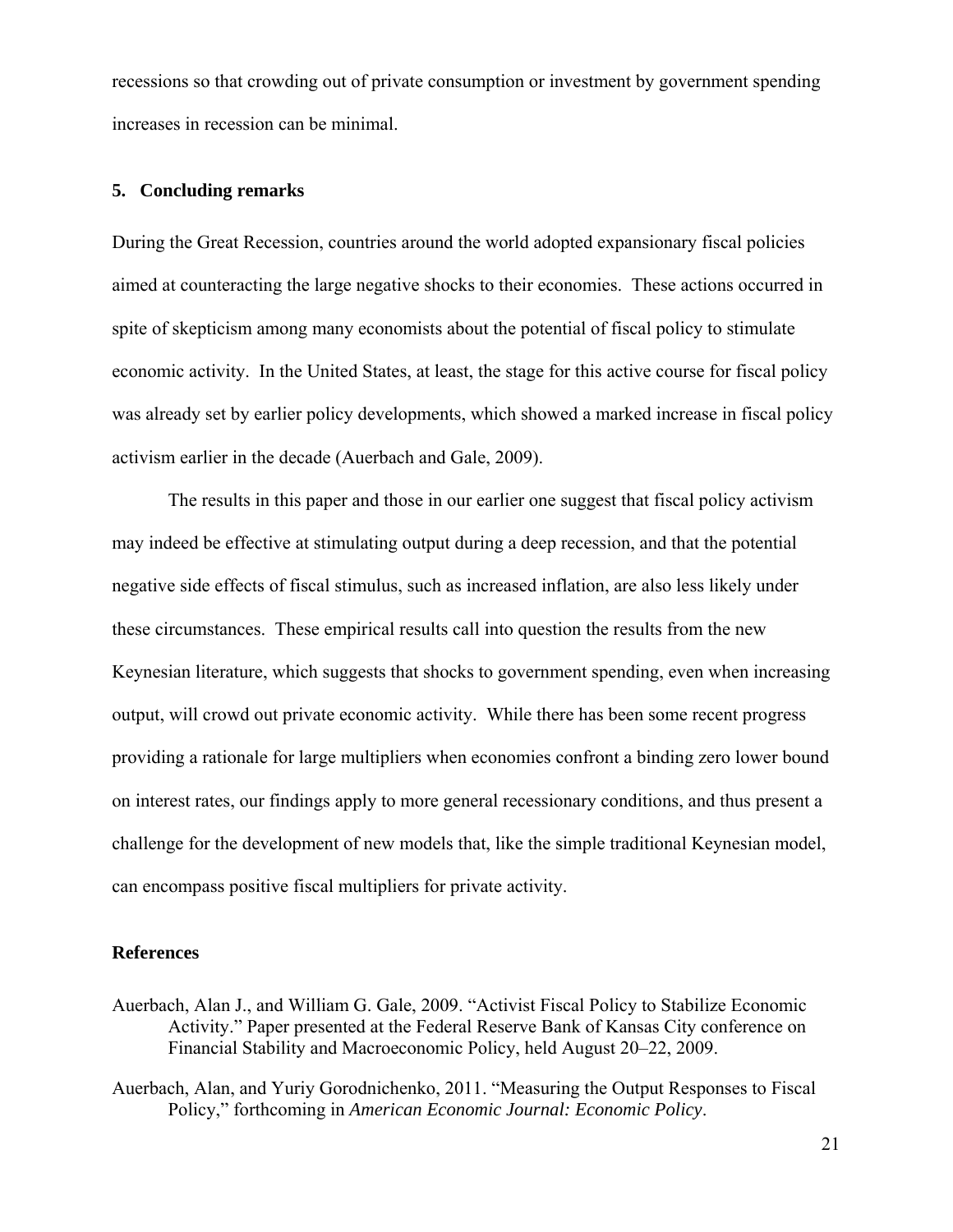recessions so that crowding out of private consumption or investment by government spending increases in recession can be minimal.

## **5. Concluding remarks**

During the Great Recession, countries around the world adopted expansionary fiscal policies aimed at counteracting the large negative shocks to their economies. These actions occurred in spite of skepticism among many economists about the potential of fiscal policy to stimulate economic activity. In the United States, at least, the stage for this active course for fiscal policy was already set by earlier policy developments, which showed a marked increase in fiscal policy activism earlier in the decade (Auerbach and Gale, 2009).

The results in this paper and those in our earlier one suggest that fiscal policy activism may indeed be effective at stimulating output during a deep recession, and that the potential negative side effects of fiscal stimulus, such as increased inflation, are also less likely under these circumstances. These empirical results call into question the results from the new Keynesian literature, which suggests that shocks to government spending, even when increasing output, will crowd out private economic activity. While there has been some recent progress providing a rationale for large multipliers when economies confront a binding zero lower bound on interest rates, our findings apply to more general recessionary conditions, and thus present a challenge for the development of new models that, like the simple traditional Keynesian model, can encompass positive fiscal multipliers for private activity.

#### **References**

- Auerbach, Alan J., and William G. Gale, 2009. "Activist Fiscal Policy to Stabilize Economic Activity." Paper presented at the Federal Reserve Bank of Kansas City conference on Financial Stability and Macroeconomic Policy, held August 20–22, 2009.
- Auerbach, Alan, and Yuriy Gorodnichenko, 2011. "Measuring the Output Responses to Fiscal Policy," forthcoming in *American Economic Journal: Economic Policy*.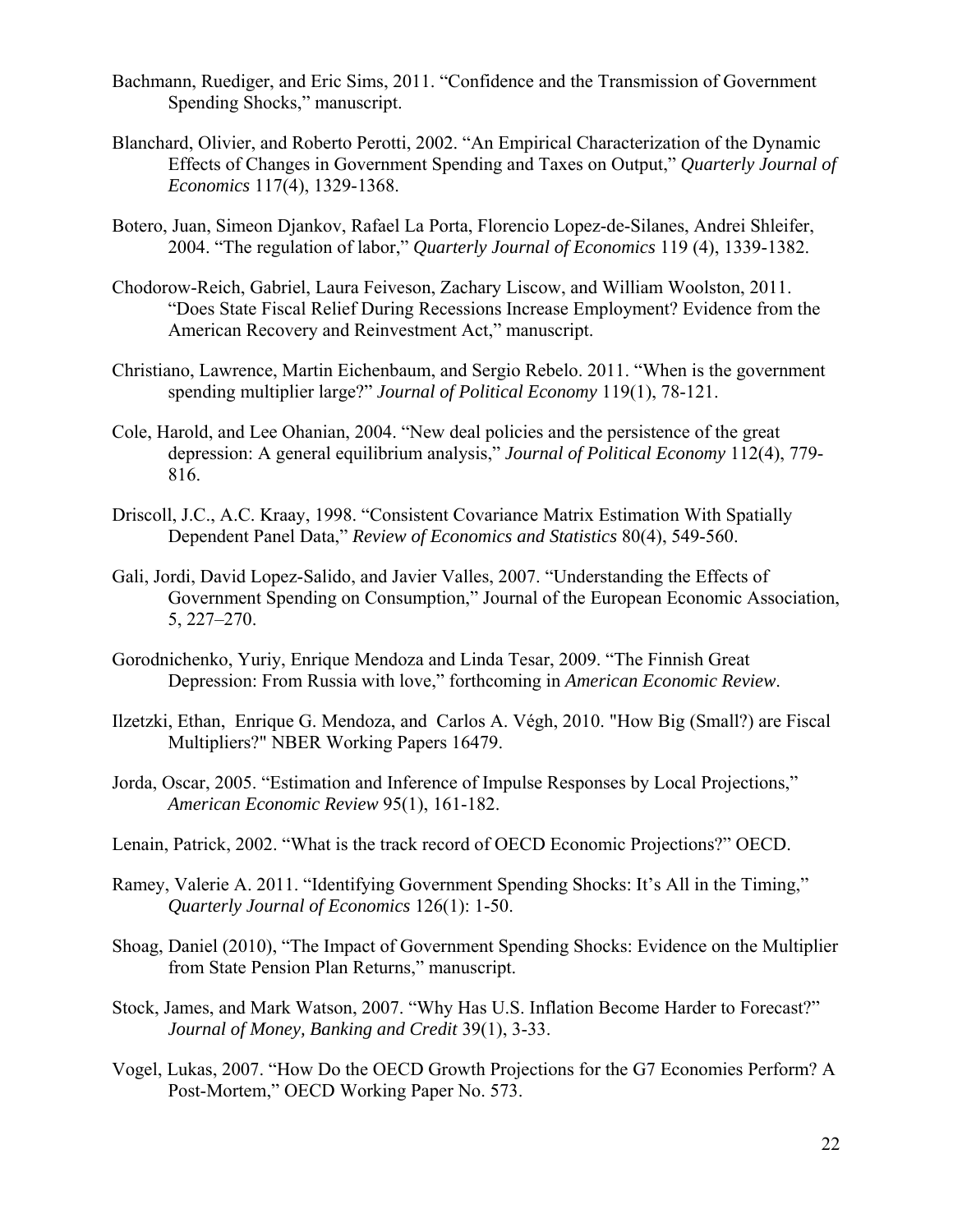- Bachmann, Ruediger, and Eric Sims, 2011. "Confidence and the Transmission of Government Spending Shocks," manuscript.
- Blanchard, Olivier, and Roberto Perotti, 2002. "An Empirical Characterization of the Dynamic Effects of Changes in Government Spending and Taxes on Output," *Quarterly Journal of Economics* 117(4), 1329-1368.
- Botero, Juan, Simeon Djankov, Rafael La Porta, Florencio Lopez-de-Silanes, Andrei Shleifer, 2004. "The regulation of labor," *Quarterly Journal of Economics* 119 (4), 1339-1382.
- Chodorow-Reich, Gabriel, Laura Feiveson, Zachary Liscow, and William Woolston, 2011. "Does State Fiscal Relief During Recessions Increase Employment? Evidence from the American Recovery and Reinvestment Act," manuscript.
- Christiano, Lawrence, Martin Eichenbaum, and Sergio Rebelo. 2011. "When is the government spending multiplier large?" *Journal of Political Economy* 119(1), 78-121.
- Cole, Harold, and Lee Ohanian, 2004. "New deal policies and the persistence of the great depression: A general equilibrium analysis," *Journal of Political Economy* 112(4), 779- 816.
- Driscoll, J.C., A.C. Kraay, 1998. "Consistent Covariance Matrix Estimation With Spatially Dependent Panel Data," *Review of Economics and Statistics* 80(4), 549-560.
- Gali, Jordi, David Lopez-Salido, and Javier Valles, 2007. "Understanding the Effects of Government Spending on Consumption," Journal of the European Economic Association, 5, 227–270.
- Gorodnichenko, Yuriy, Enrique Mendoza and Linda Tesar, 2009. "The Finnish Great Depression: From Russia with love," forthcoming in *American Economic Review*.
- Ilzetzki, Ethan, Enrique G. Mendoza, and Carlos A. Végh, 2010. "How Big (Small?) are Fiscal Multipliers?" NBER Working Papers 16479.
- Jorda, Oscar, 2005. "Estimation and Inference of Impulse Responses by Local Projections," *American Economic Review* 95(1), 161-182.
- Lenain, Patrick, 2002. "What is the track record of OECD Economic Projections?" OECD.
- Ramey, Valerie A. 2011. "Identifying Government Spending Shocks: It's All in the Timing," *Quarterly Journal of Economics* 126(1): 1-50.
- Shoag, Daniel (2010), "The Impact of Government Spending Shocks: Evidence on the Multiplier from State Pension Plan Returns," manuscript.
- Stock, James, and Mark Watson, 2007. "Why Has U.S. Inflation Become Harder to Forecast?" *Journal of Money, Banking and Credit* 39(1), 3-33.
- Vogel, Lukas, 2007. "How Do the OECD Growth Projections for the G7 Economies Perform? A Post-Mortem," OECD Working Paper No. 573.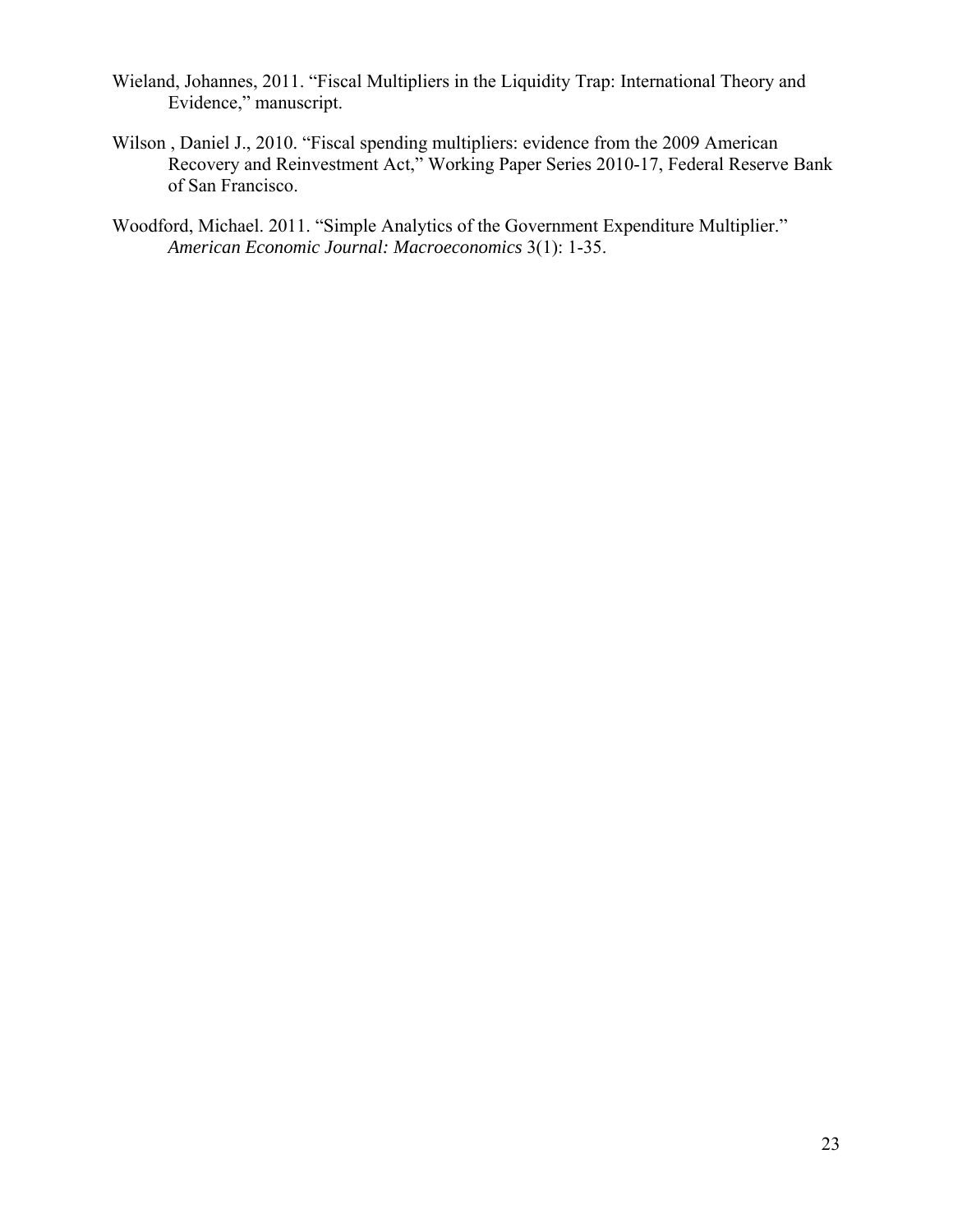- Wieland, Johannes, 2011. "Fiscal Multipliers in the Liquidity Trap: International Theory and Evidence," manuscript.
- Wilson , Daniel J., 2010. "Fiscal spending multipliers: evidence from the 2009 American Recovery and Reinvestment Act," Working Paper Series 2010-17, Federal Reserve Bank of San Francisco.
- Woodford, Michael. 2011. "Simple Analytics of the Government Expenditure Multiplier." *American Economic Journal: Macroeconomics* 3(1): 1-35.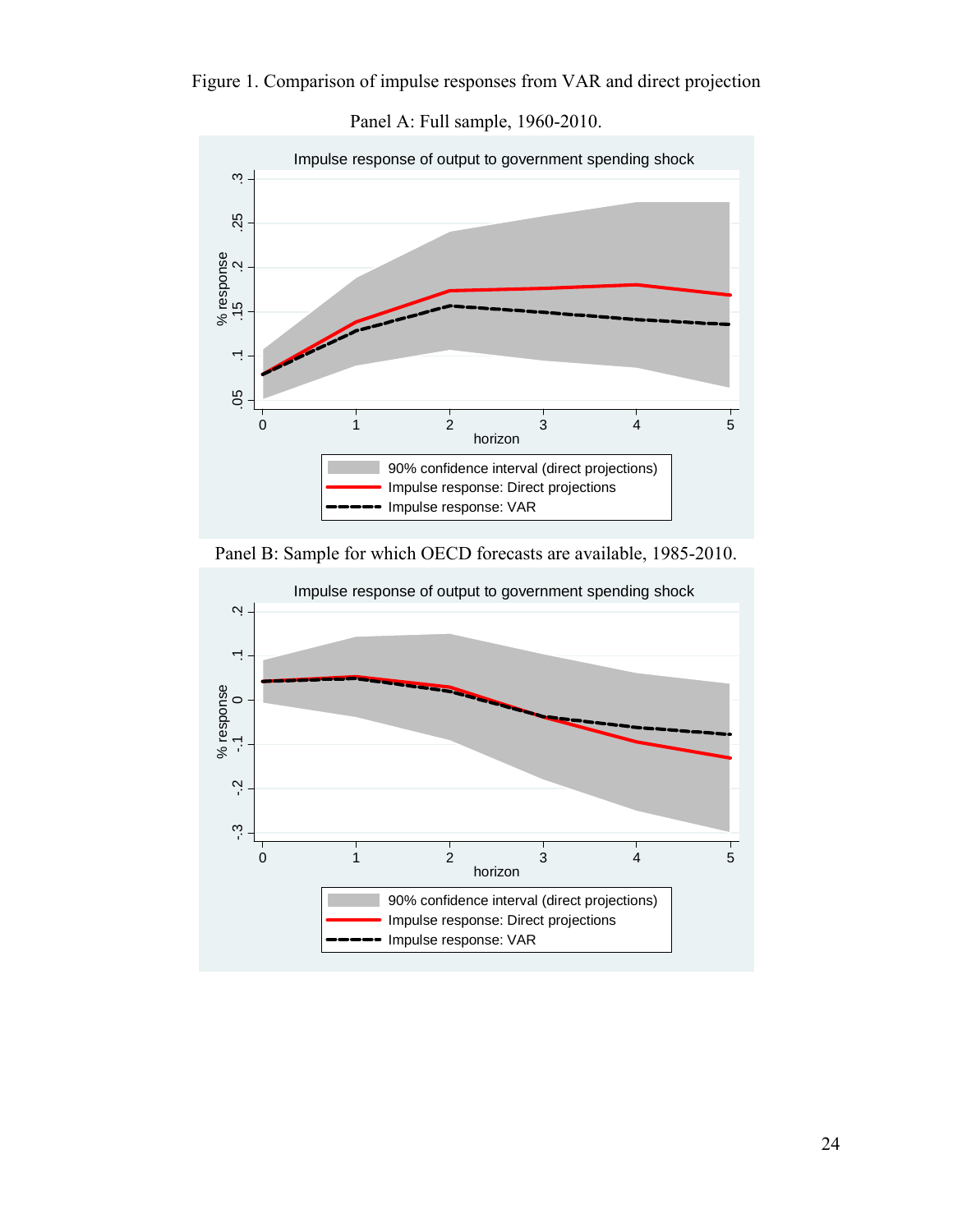Figure 1. Comparison of impulse responses from VAR and direct projection



Panel A: Full sample, 1960-2010.



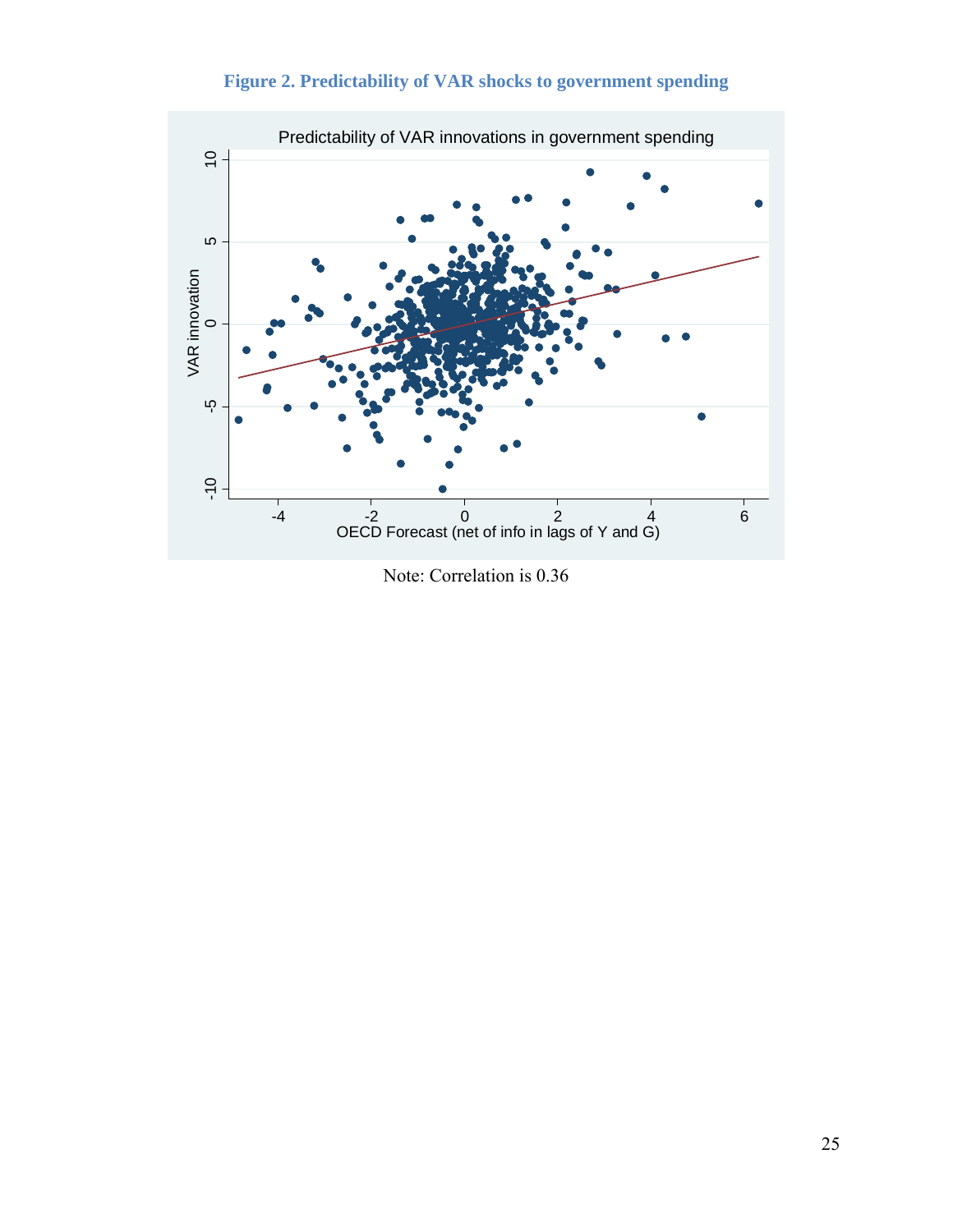

**Figure 2. Predictability of VAR shocks to government spending** 

Note: Correlation is 0.36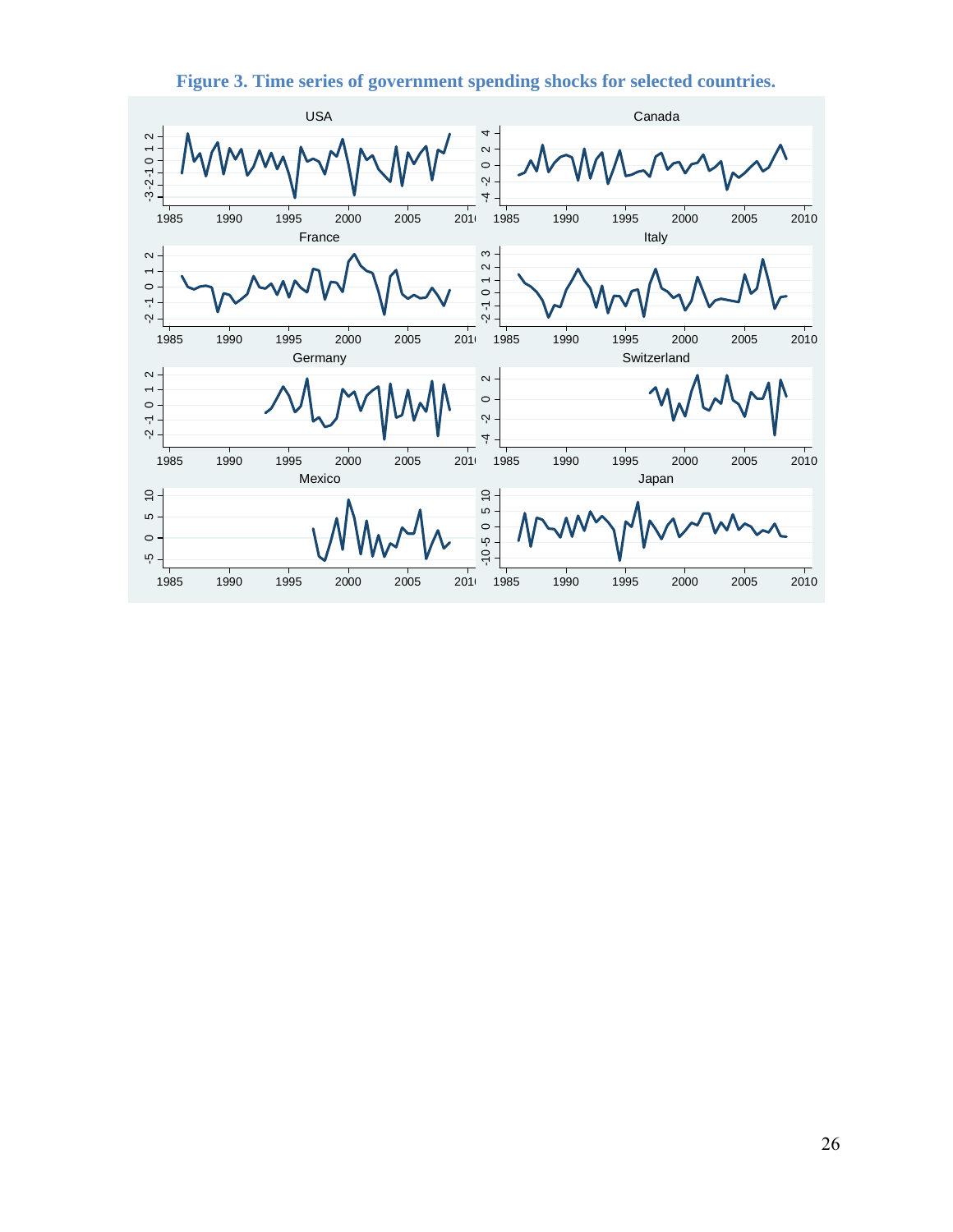

**Figure 3. Time series of government spending shocks for selected countries.**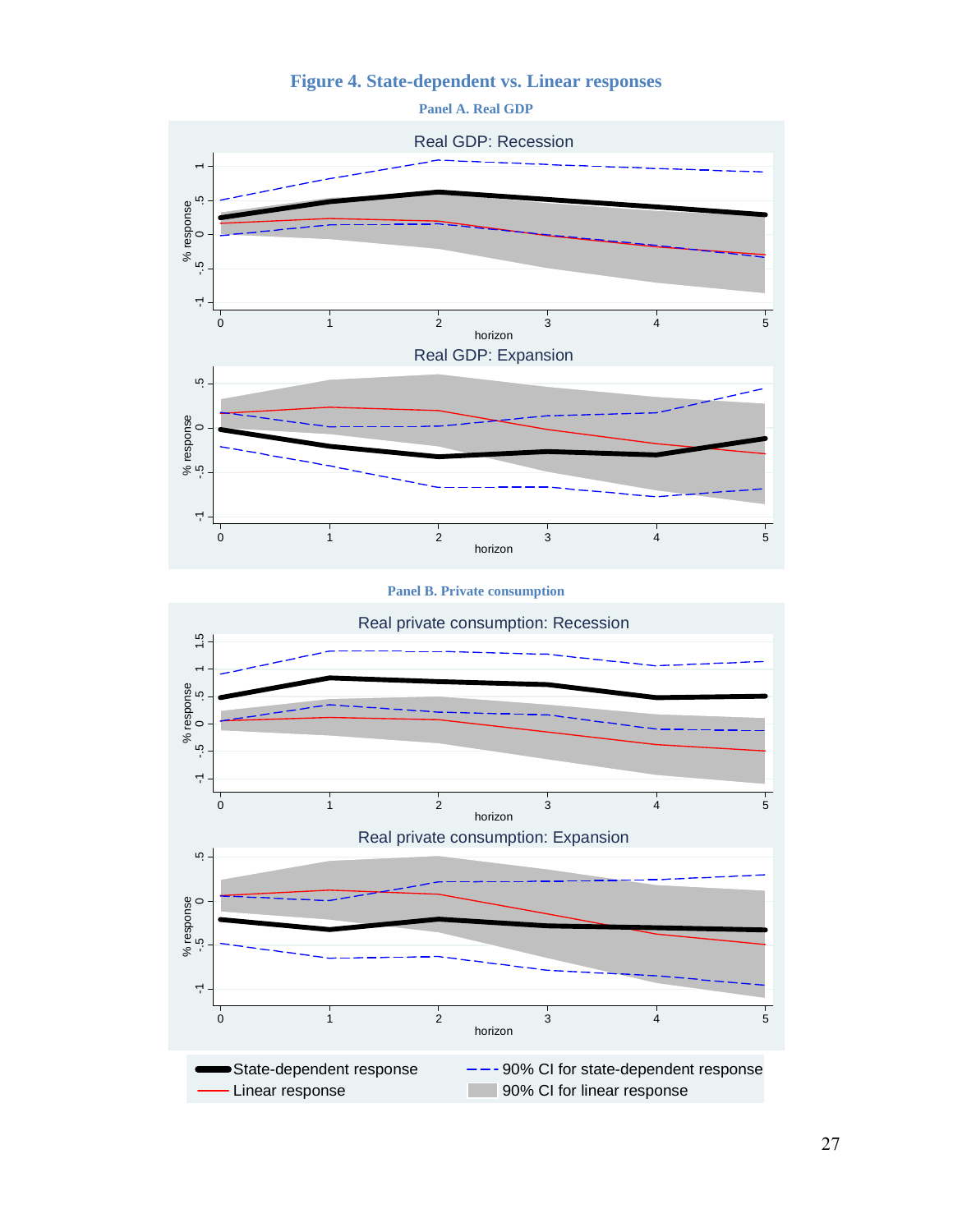## **Figure 4. State-dependent vs. Linear responses**





#### **Panel B. Private consumption**

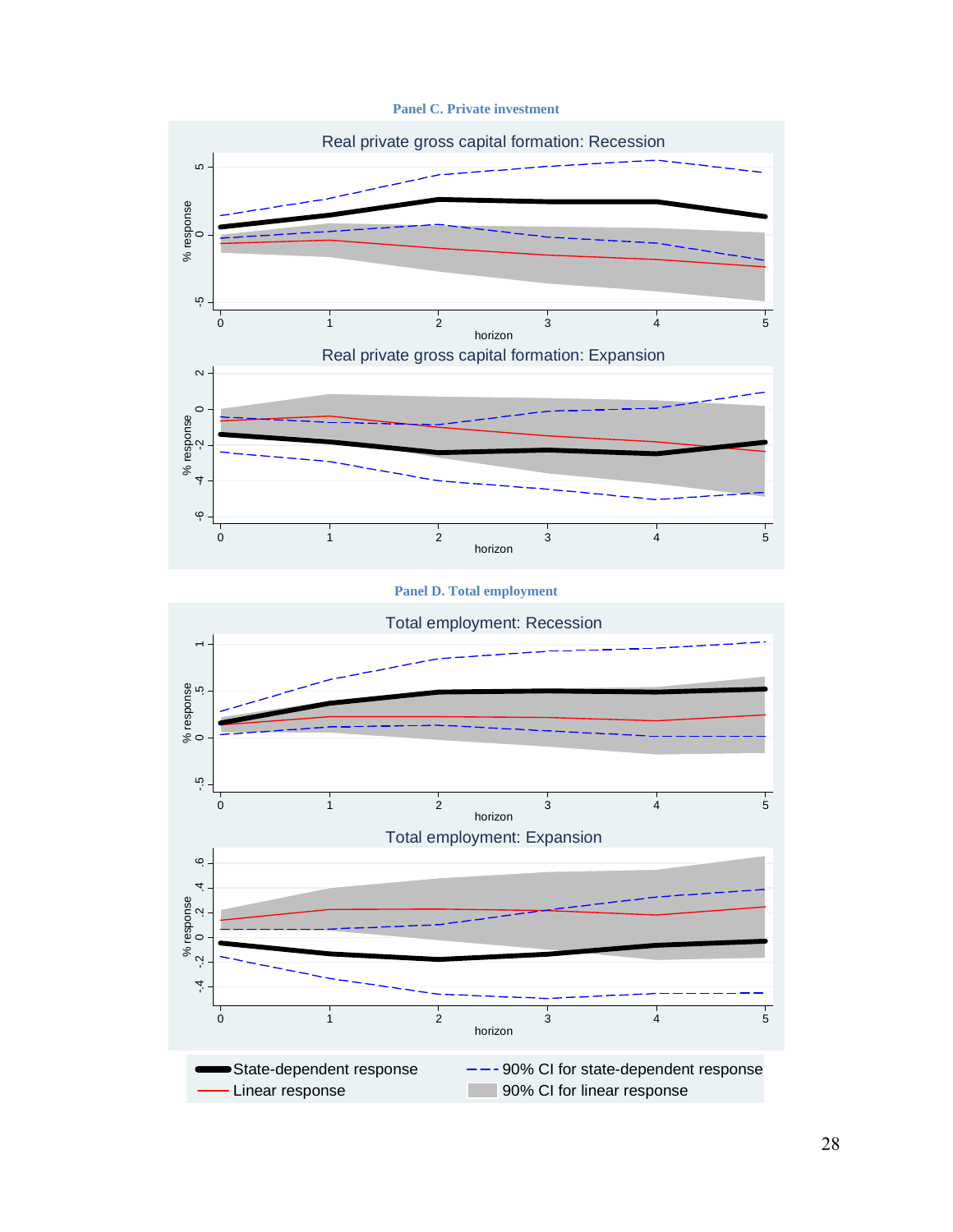**Panel C. Private investment** 



#### **Panel D. Total employment**

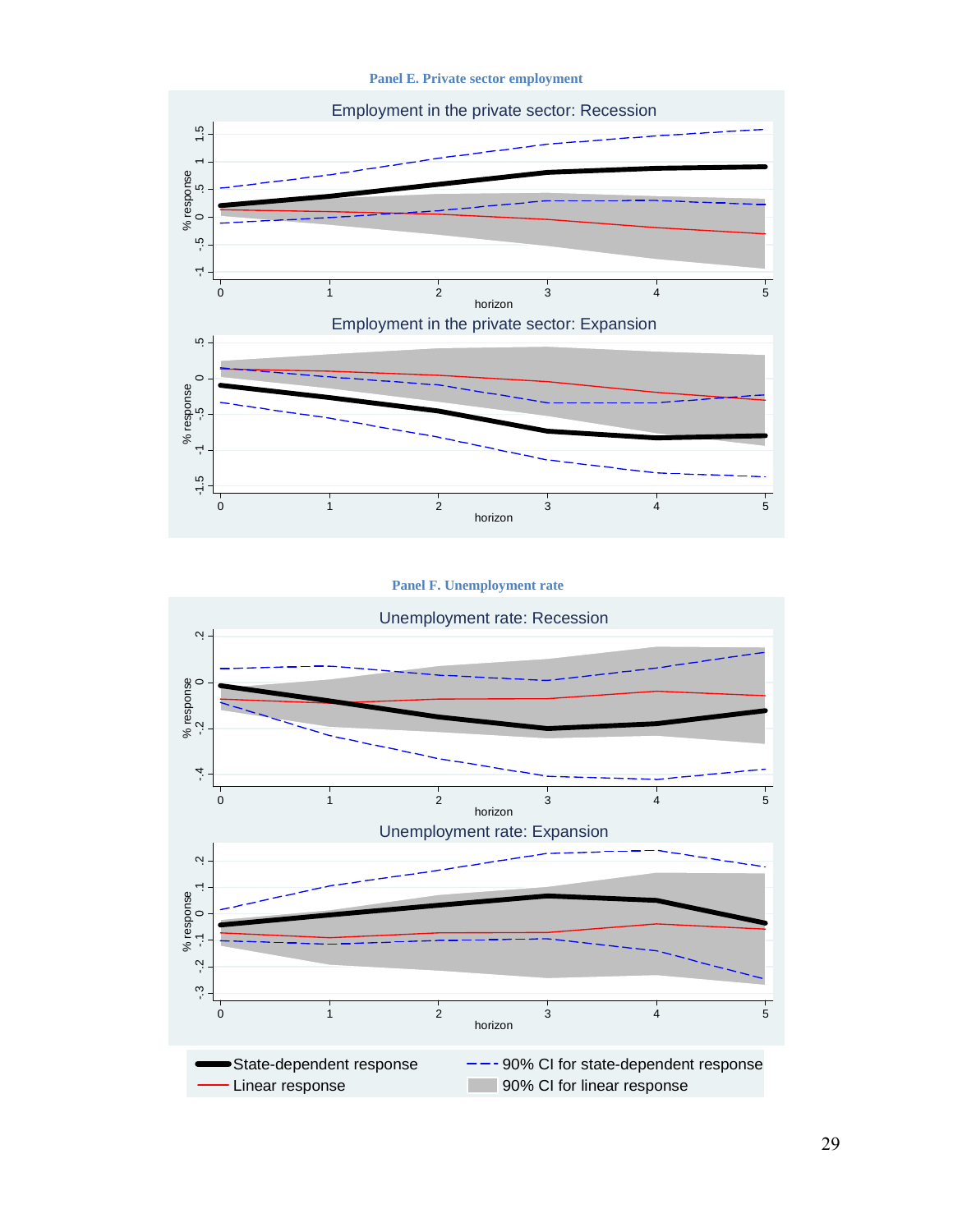**Panel E. Private sector employment** 



#### **Panel F. Unemployment rate**

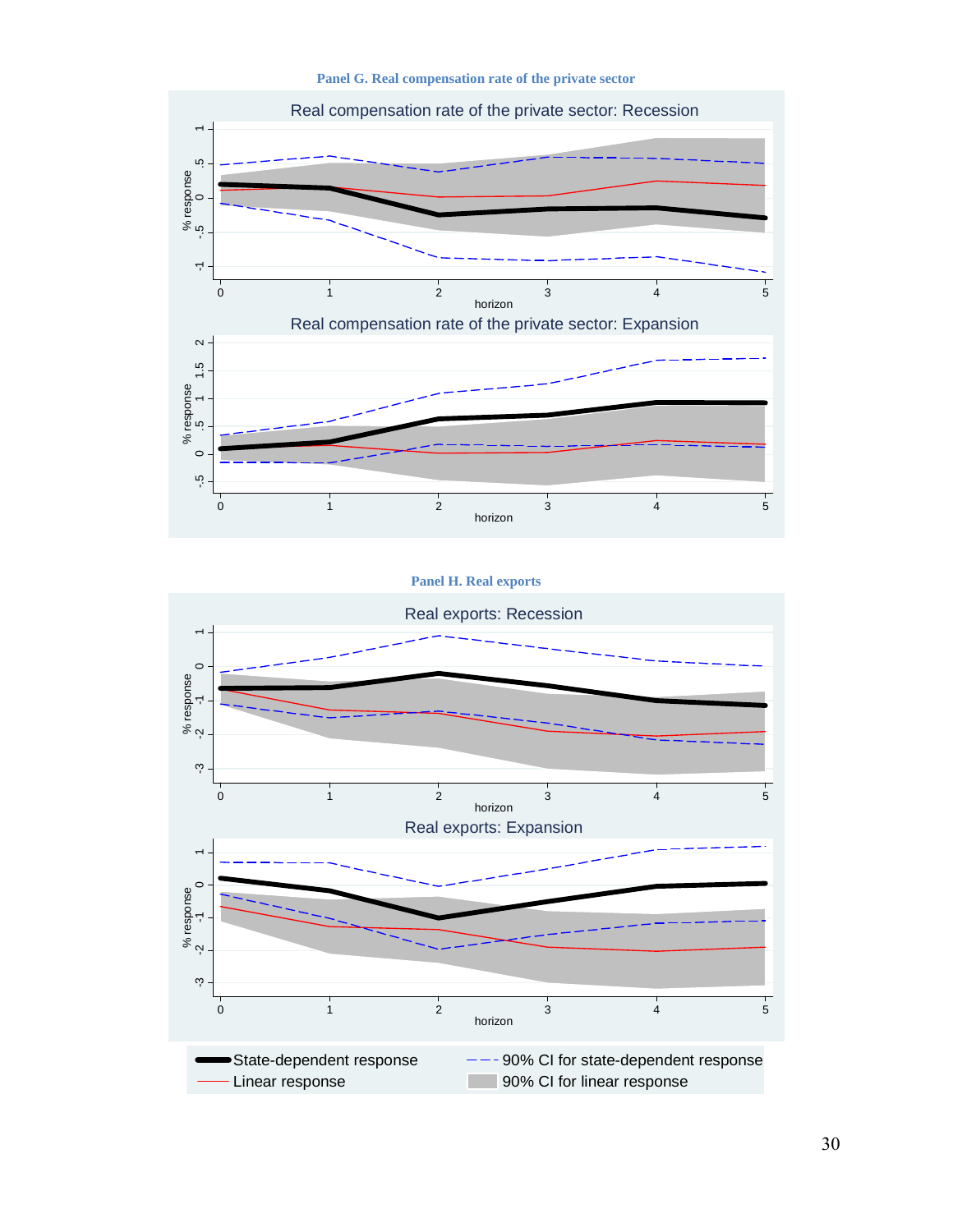**Panel G. Real compensation rate of the private sector** 



**Panel H. Real exports** 

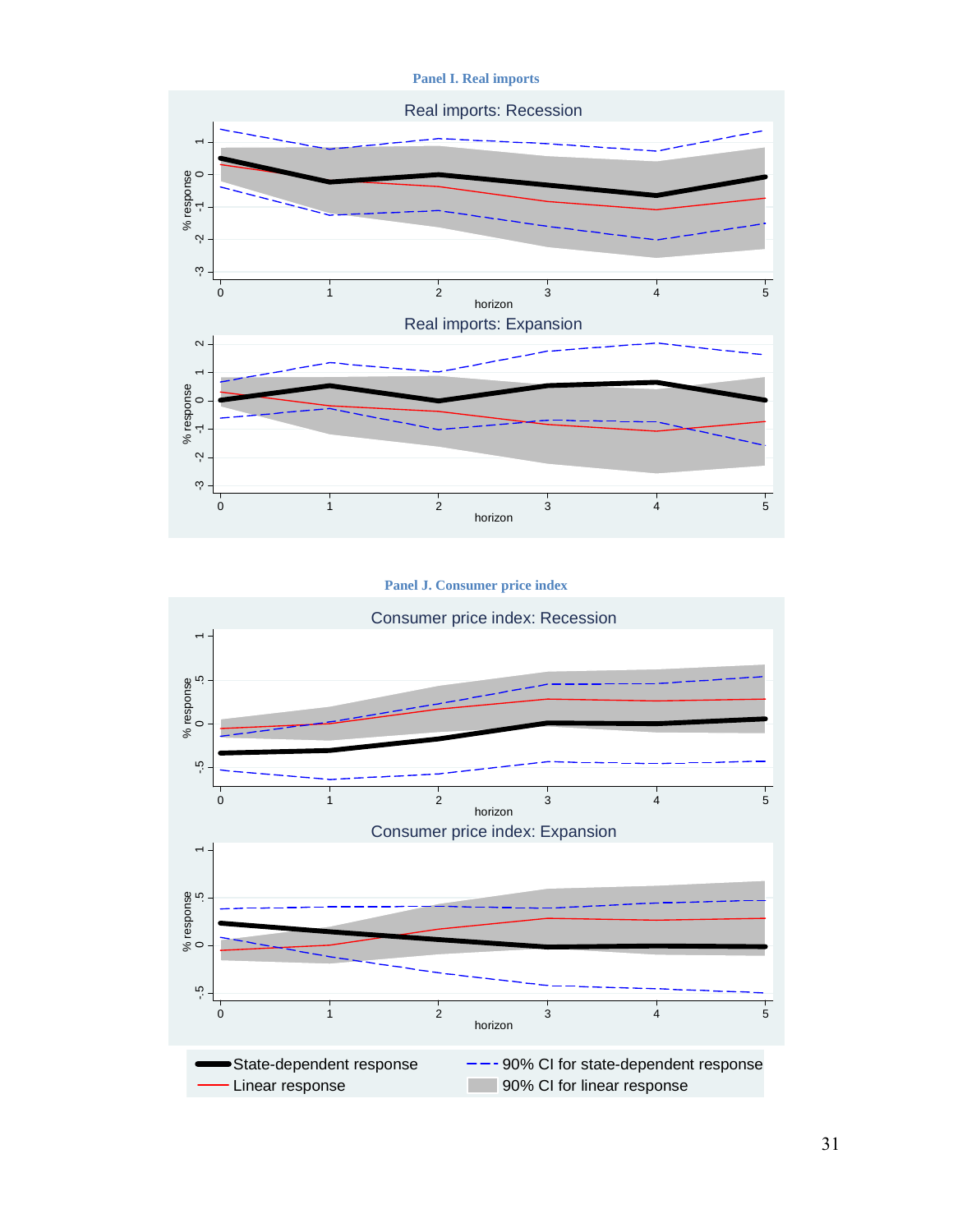**Panel I. Real imports** 



#### **Panel J. Consumer price index**

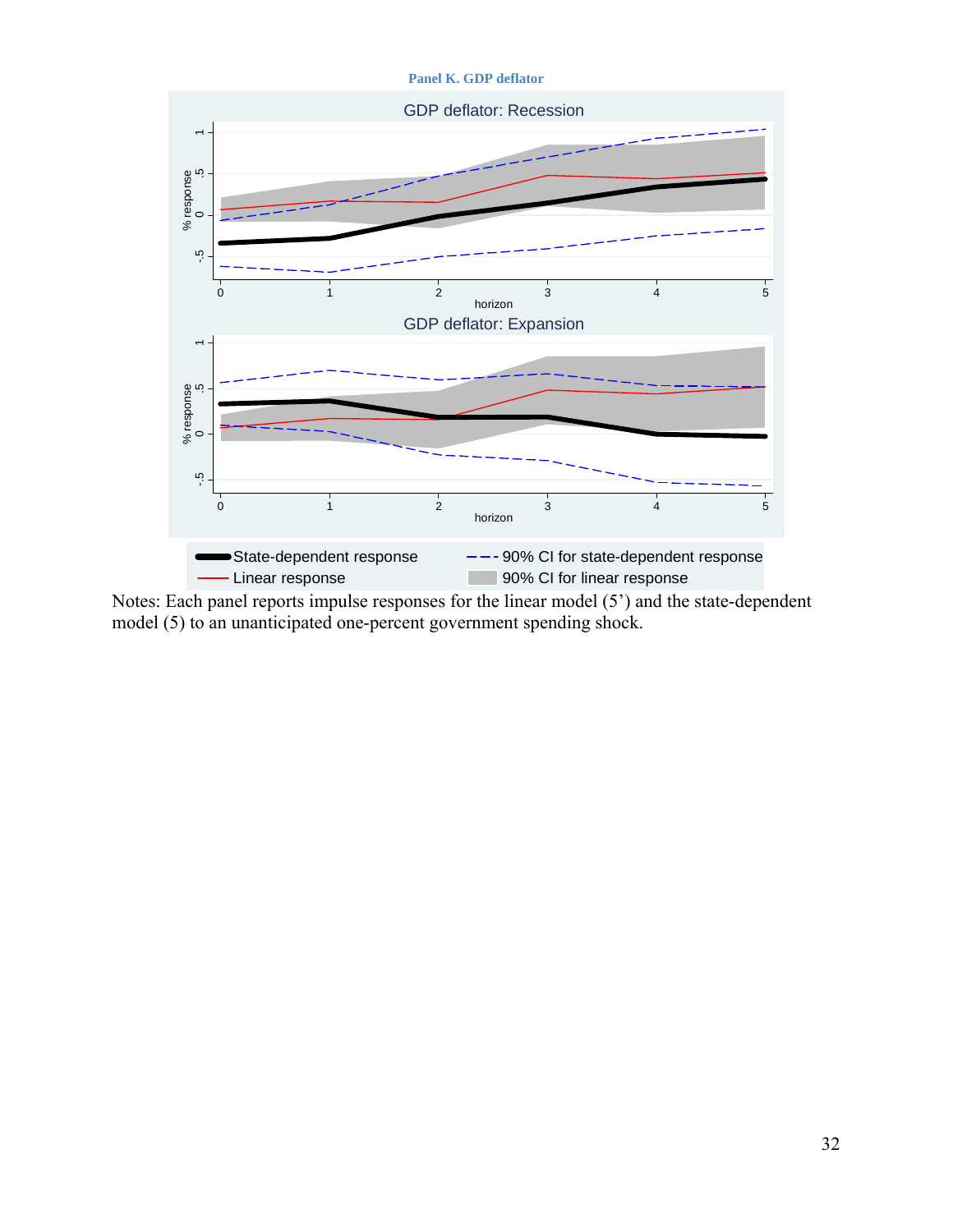

Notes: Each panel reports impulse responses for the linear model (5') and the state-dependent model (5) to an unanticipated one-percent government spending shock.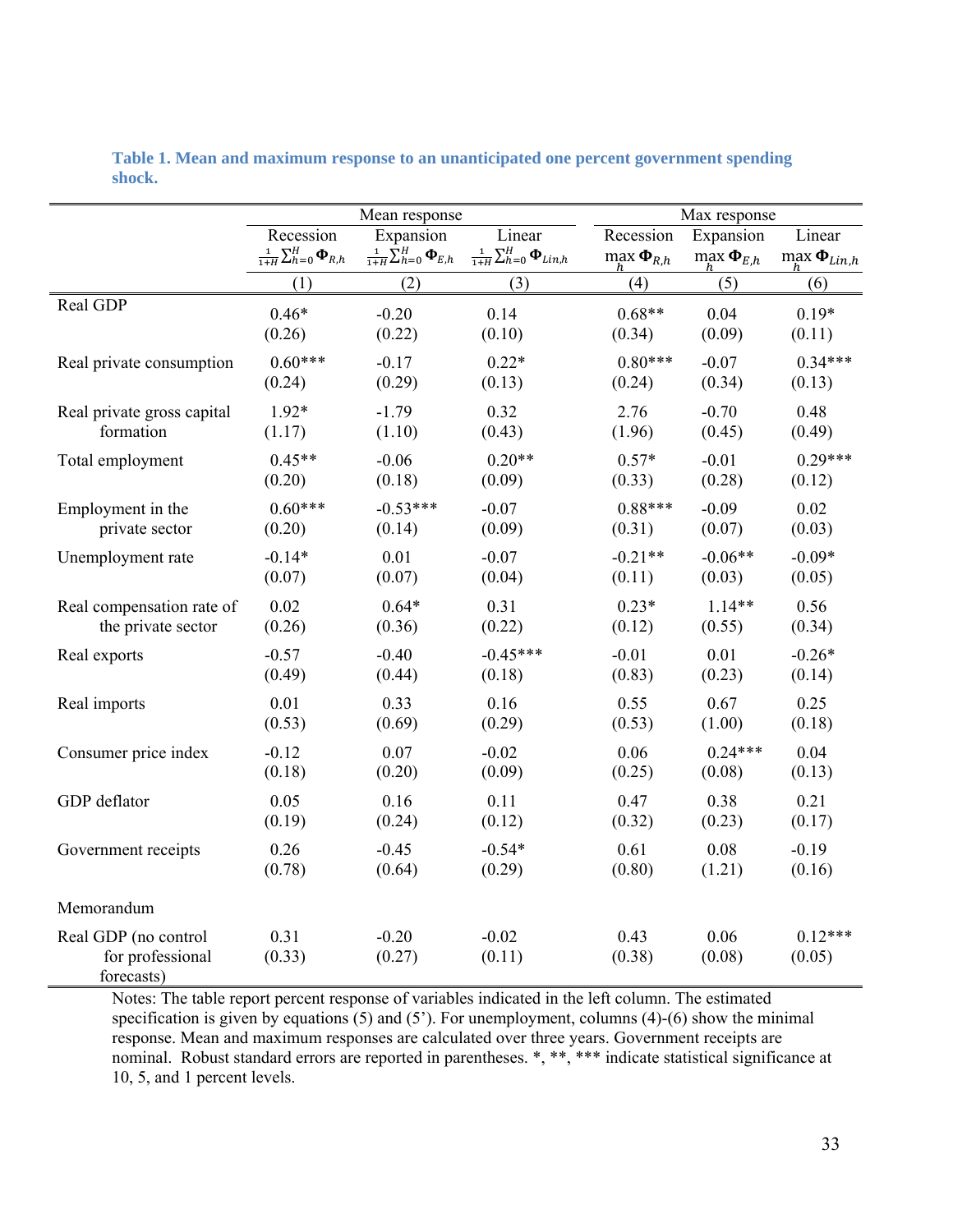|                                                        | Mean response                                    |                                                 |                                                   |                             | Max response               |                              |  |  |
|--------------------------------------------------------|--------------------------------------------------|-------------------------------------------------|---------------------------------------------------|-----------------------------|----------------------------|------------------------------|--|--|
|                                                        | Recession                                        | Expansion                                       | Linear                                            | Recession                   | Expansion                  | Linear                       |  |  |
|                                                        | $\frac{1}{1+H} \sum_{h=0}^H \mathbf{\Phi}_{R,h}$ | $\frac{1}{1+H}\sum_{h=0}^H \mathbf{\Phi}_{E,h}$ | $\frac{1}{1+H}\sum_{h=0}^H \mathbf{\Phi}_{Lin,h}$ | $max$ $\Phi$ <sub>R.h</sub> | $\max \mathbf{\Phi}_{E,h}$ | $\max \mathbf{\Phi}_{Lin,h}$ |  |  |
|                                                        | (1)                                              | (2)                                             | (3)                                               | (4)                         | (5)                        | (6)                          |  |  |
| Real GDP                                               | $0.46*$                                          | $-0.20$                                         | 0.14                                              | $0.68**$                    | 0.04                       | $0.19*$                      |  |  |
|                                                        | (0.26)                                           | (0.22)                                          | (0.10)                                            | (0.34)                      | (0.09)                     | (0.11)                       |  |  |
| Real private consumption                               | $0.60***$                                        | $-0.17$                                         | $0.22*$                                           | $0.80***$                   | $-0.07$                    | $0.34***$                    |  |  |
|                                                        | (0.24)                                           | (0.29)                                          | (0.13)                                            | (0.24)                      | (0.34)                     | (0.13)                       |  |  |
| Real private gross capital                             | $1.92*$                                          | $-1.79$                                         | 0.32                                              | 2.76                        | $-0.70$                    | 0.48                         |  |  |
| formation                                              | (1.17)                                           | (1.10)                                          | (0.43)                                            | (1.96)                      | (0.45)                     | (0.49)                       |  |  |
| Total employment                                       | $0.45**$                                         | $-0.06$                                         | $0.20**$                                          | $0.57*$                     | $-0.01$                    | $0.29***$                    |  |  |
|                                                        | (0.20)                                           | (0.18)                                          | (0.09)                                            | (0.33)                      | (0.28)                     | (0.12)                       |  |  |
| Employment in the                                      | $0.60***$                                        | $-0.53***$                                      | $-0.07$                                           | $0.88***$                   | $-0.09$                    | 0.02                         |  |  |
| private sector                                         | (0.20)                                           | (0.14)                                          | (0.09)                                            | (0.31)                      | (0.07)                     | (0.03)                       |  |  |
| Unemployment rate                                      | $-0.14*$                                         | 0.01                                            | $-0.07$                                           | $-0.21**$                   | $-0.06**$                  | $-0.09*$                     |  |  |
|                                                        | (0.07)                                           | (0.07)                                          | (0.04)                                            | (0.11)                      | (0.03)                     | (0.05)                       |  |  |
| Real compensation rate of                              | 0.02                                             | $0.64*$                                         | 0.31                                              | $0.23*$                     | $1.14**$                   | 0.56                         |  |  |
| the private sector                                     | (0.26)                                           | (0.36)                                          | (0.22)                                            | (0.12)                      | (0.55)                     | (0.34)                       |  |  |
| Real exports                                           | $-0.57$                                          | $-0.40$                                         | $-0.45***$                                        | $-0.01$                     | 0.01                       | $-0.26*$                     |  |  |
|                                                        | (0.49)                                           | (0.44)                                          | (0.18)                                            | (0.83)                      | (0.23)                     | (0.14)                       |  |  |
| Real imports                                           | 0.01                                             | 0.33                                            | 0.16                                              | 0.55                        | 0.67                       | 0.25                         |  |  |
|                                                        | (0.53)                                           | (0.69)                                          | (0.29)                                            | (0.53)                      | (1.00)                     | (0.18)                       |  |  |
| Consumer price index                                   | $-0.12$                                          | 0.07                                            | $-0.02$                                           | 0.06                        | $0.24***$                  | 0.04                         |  |  |
|                                                        | (0.18)                                           | (0.20)                                          | (0.09)                                            | (0.25)                      | (0.08)                     | (0.13)                       |  |  |
| GDP deflator                                           | 0.05                                             | 0.16                                            | 0.11                                              | 0.47                        | 0.38                       | 0.21                         |  |  |
|                                                        | (0.19)                                           | (0.24)                                          | (0.12)                                            | (0.32)                      | (0.23)                     | (0.17)                       |  |  |
| Government receipts                                    | 0.26                                             | $-0.45$                                         | $-0.54*$                                          | 0.61                        | 0.08                       | $-0.19$                      |  |  |
|                                                        | (0.78)                                           | (0.64)                                          | (0.29)                                            | (0.80)                      | (1.21)                     | (0.16)                       |  |  |
| Memorandum                                             |                                                  |                                                 |                                                   |                             |                            |                              |  |  |
| Real GDP (no control<br>for professional<br>forecasts) | 0.31<br>(0.33)                                   | $-0.20$<br>(0.27)                               | $-0.02$<br>(0.11)                                 | 0.43<br>(0.38)              | 0.06<br>(0.08)             | $0.12***$<br>(0.05)          |  |  |

**Table 1. Mean and maximum response to an unanticipated one percent government spending shock.** 

Notes: The table report percent response of variables indicated in the left column. The estimated specification is given by equations  $(5)$  and  $(5')$ . For unemployment, columns  $(4)-(6)$  show the minimal response. Mean and maximum responses are calculated over three years. Government receipts are nominal. Robust standard errors are reported in parentheses. \*, \*\*, \*\*\* indicate statistical significance at 10, 5, and 1 percent levels.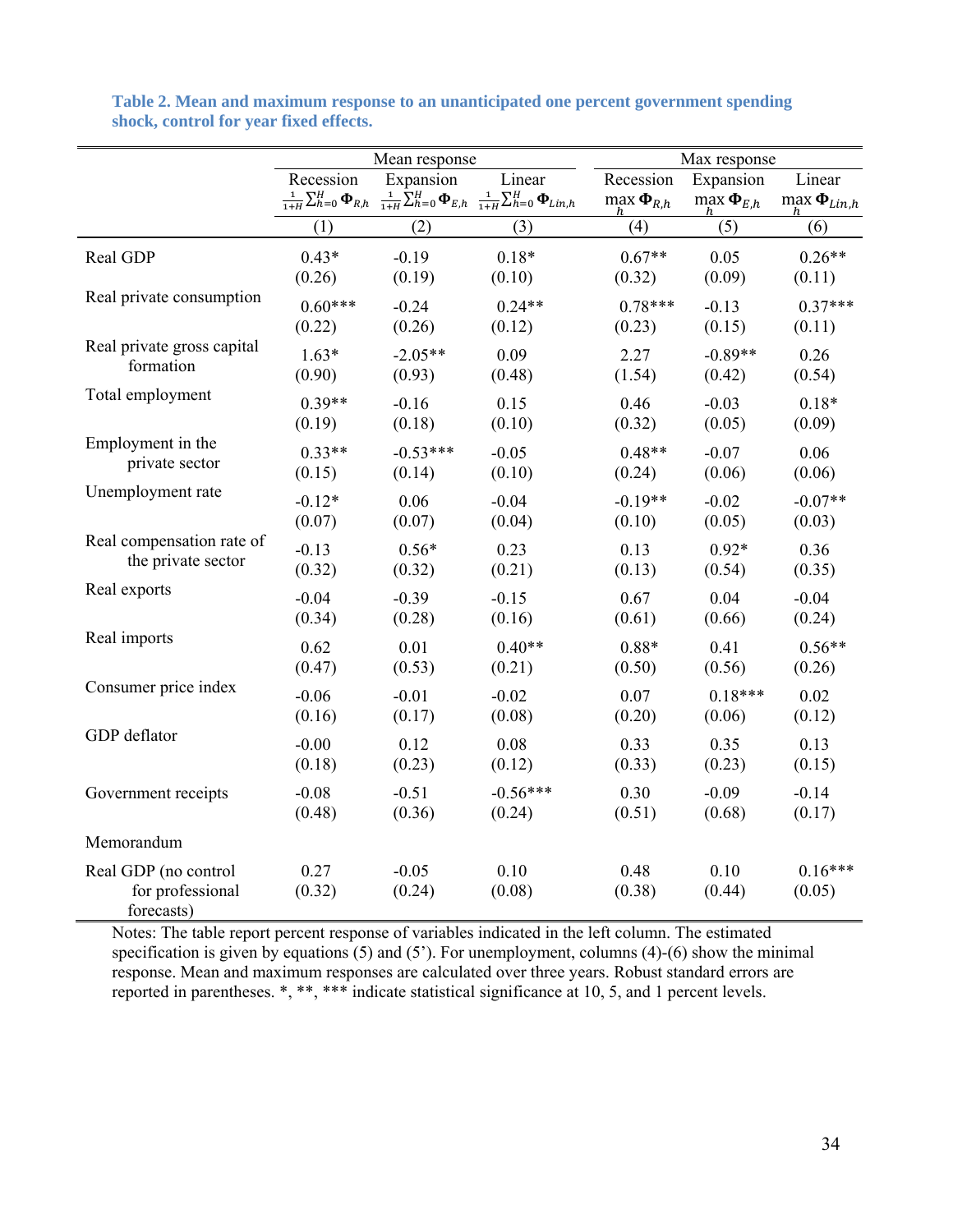|                                                        | Mean response  |                   |                                                                                                                                                                   | Max response                            |                                           |                                        |  |
|--------------------------------------------------------|----------------|-------------------|-------------------------------------------------------------------------------------------------------------------------------------------------------------------|-----------------------------------------|-------------------------------------------|----------------------------------------|--|
|                                                        | Recession      | Expansion         | Linear<br>$\frac{1}{1+H}\sum_{h=0}^{H} \mathbf{\Phi}_{R,h}$ $\frac{1}{1+H}\sum_{h=0}^{H} \mathbf{\Phi}_{E,h}$ $\frac{1}{1+H}\sum_{h=0}^{H} \mathbf{\Phi}_{Lin,h}$ | Recession<br>$\max \mathbf{\Phi}_{R,h}$ | Expansion<br>$\max_h \mathbf{\Phi}_{E,h}$ | Linear<br>$\max \mathbf{\Phi}_{Lin,h}$ |  |
|                                                        | (1)            | (2)               | (3)                                                                                                                                                               | (4)                                     | (5)                                       | (6)                                    |  |
| Real GDP                                               | $0.43*$        | $-0.19$           | $0.18*$                                                                                                                                                           | $0.67**$                                | 0.05                                      | $0.26**$                               |  |
|                                                        | (0.26)         | (0.19)            | (0.10)                                                                                                                                                            | (0.32)                                  | (0.09)                                    | (0.11)                                 |  |
| Real private consumption                               | $0.60***$      | $-0.24$           | $0.24**$                                                                                                                                                          | $0.78***$                               | $-0.13$                                   | $0.37***$                              |  |
|                                                        | (0.22)         | (0.26)            | (0.12)                                                                                                                                                            | (0.23)                                  | (0.15)                                    | (0.11)                                 |  |
| Real private gross capital                             | $1.63*$        | $-2.05**$         | 0.09                                                                                                                                                              | 2.27                                    | $-0.89**$                                 | 0.26                                   |  |
| formation                                              | (0.90)         | (0.93)            | (0.48)                                                                                                                                                            | (1.54)                                  | (0.42)                                    | (0.54)                                 |  |
| Total employment                                       | $0.39**$       | $-0.16$           | 0.15                                                                                                                                                              | 0.46                                    | $-0.03$                                   | $0.18*$                                |  |
|                                                        | (0.19)         | (0.18)            | (0.10)                                                                                                                                                            | (0.32)                                  | (0.05)                                    | (0.09)                                 |  |
| Employment in the                                      | $0.33**$       | $-0.53***$        | $-0.05$                                                                                                                                                           | $0.48**$                                | $-0.07$                                   | 0.06                                   |  |
| private sector                                         | (0.15)         | (0.14)            | (0.10)                                                                                                                                                            | (0.24)                                  | (0.06)                                    | (0.06)                                 |  |
| Unemployment rate                                      | $-0.12*$       | 0.06              | $-0.04$                                                                                                                                                           | $-0.19**$                               | $-0.02$                                   | $-0.07**$                              |  |
|                                                        | (0.07)         | (0.07)            | (0.04)                                                                                                                                                            | (0.10)                                  | (0.05)                                    | (0.03)                                 |  |
| Real compensation rate of                              | $-0.13$        | $0.56*$           | 0.23                                                                                                                                                              | 0.13                                    | $0.92*$                                   | 0.36                                   |  |
| the private sector                                     | (0.32)         | (0.32)            | (0.21)                                                                                                                                                            | (0.13)                                  | (0.54)                                    | (0.35)                                 |  |
| Real exports                                           | $-0.04$        | $-0.39$           | $-0.15$                                                                                                                                                           | 0.67                                    | 0.04                                      | $-0.04$                                |  |
|                                                        | (0.34)         | (0.28)            | (0.16)                                                                                                                                                            | (0.61)                                  | (0.66)                                    | (0.24)                                 |  |
| Real imports                                           | 0.62           | 0.01              | $0.40**$                                                                                                                                                          | $0.88*$                                 | 0.41                                      | $0.56**$                               |  |
|                                                        | (0.47)         | (0.53)            | (0.21)                                                                                                                                                            | (0.50)                                  | (0.56)                                    | (0.26)                                 |  |
| Consumer price index                                   | $-0.06$        | $-0.01$           | $-0.02$                                                                                                                                                           | 0.07                                    | $0.18***$                                 | 0.02                                   |  |
|                                                        | (0.16)         | (0.17)            | (0.08)                                                                                                                                                            | (0.20)                                  | (0.06)                                    | (0.12)                                 |  |
| GDP deflator                                           | $-0.00$        | 0.12              | 0.08                                                                                                                                                              | 0.33                                    | 0.35                                      | 0.13                                   |  |
|                                                        | (0.18)         | (0.23)            | (0.12)                                                                                                                                                            | (0.33)                                  | (0.23)                                    | (0.15)                                 |  |
| Government receipts                                    | $-0.08$        | $-0.51$           | $-0.56***$                                                                                                                                                        | 0.30                                    | $-0.09$                                   | $-0.14$                                |  |
|                                                        | (0.48)         | (0.36)            | (0.24)                                                                                                                                                            | (0.51)                                  | (0.68)                                    | (0.17)                                 |  |
| Memorandum                                             |                |                   |                                                                                                                                                                   |                                         |                                           |                                        |  |
| Real GDP (no control<br>for professional<br>forecasts) | 0.27<br>(0.32) | $-0.05$<br>(0.24) | 0.10<br>(0.08)                                                                                                                                                    | 0.48<br>(0.38)                          | 0.10<br>(0.44)                            | $0.16***$<br>(0.05)                    |  |

**Table 2. Mean and maximum response to an unanticipated one percent government spending shock, control for year fixed effects.** 

Notes: The table report percent response of variables indicated in the left column. The estimated specification is given by equations  $(5)$  and  $(5')$ . For unemployment, columns  $(4)-(6)$  show the minimal response. Mean and maximum responses are calculated over three years. Robust standard errors are reported in parentheses. \*, \*\*, \*\*\* indicate statistical significance at 10, 5, and 1 percent levels.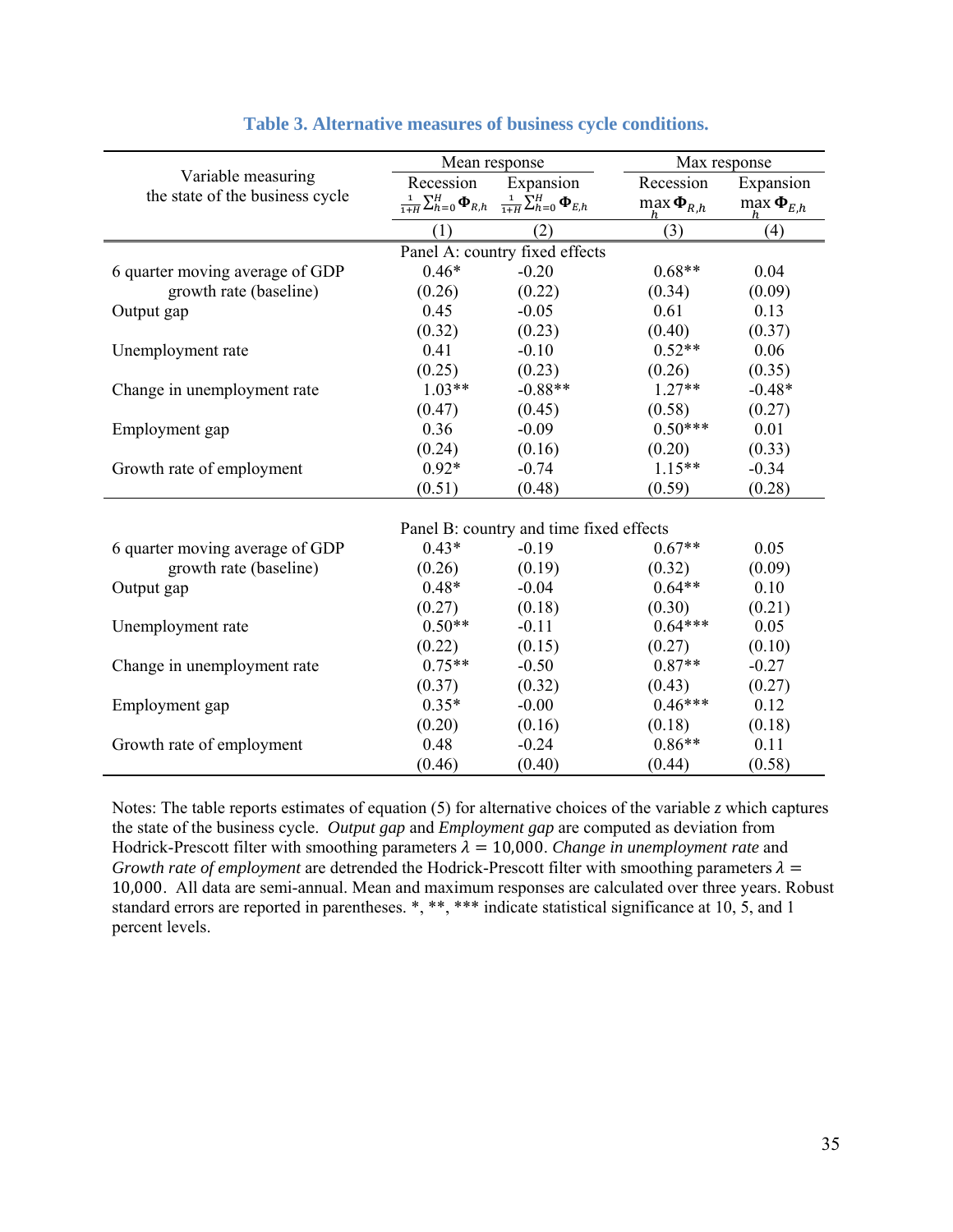|                                                       | Mean response |                                                                                                                    | Max response                            |                                         |  |  |  |  |
|-------------------------------------------------------|---------------|--------------------------------------------------------------------------------------------------------------------|-----------------------------------------|-----------------------------------------|--|--|--|--|
| Variable measuring<br>the state of the business cycle | Recession     | Expansion<br>$\frac{1}{1+H} \sum_{h=0}^{H} \mathbf{\Phi}_{R,h}$ $\frac{1}{1+H} \sum_{h=0}^{H} \mathbf{\Phi}_{E,h}$ | Recession<br>$\max \mathbf{\Phi}_{R,h}$ | Expansion<br>$\max \mathbf{\Phi}_{E,h}$ |  |  |  |  |
|                                                       | (1)           | (2)                                                                                                                | (3)                                     | (4)                                     |  |  |  |  |
|                                                       |               | Panel A: country fixed effects                                                                                     |                                         |                                         |  |  |  |  |
| 6 quarter moving average of GDP                       | $0.46*$       | $-0.20$                                                                                                            | $0.68**$                                | 0.04                                    |  |  |  |  |
| growth rate (baseline)                                | (0.26)        | (0.22)                                                                                                             | (0.34)                                  | (0.09)                                  |  |  |  |  |
| Output gap                                            | 0.45          | $-0.05$                                                                                                            | 0.61                                    | 0.13                                    |  |  |  |  |
|                                                       | (0.32)        | (0.23)                                                                                                             | (0.40)                                  | (0.37)                                  |  |  |  |  |
| Unemployment rate                                     | 0.41          | $-0.10$                                                                                                            | $0.52**$                                | 0.06                                    |  |  |  |  |
|                                                       | (0.25)        | (0.23)                                                                                                             | (0.26)                                  | (0.35)                                  |  |  |  |  |
| Change in unemployment rate                           | $1.03**$      | $-0.88**$                                                                                                          | $1.27**$                                | $-0.48*$                                |  |  |  |  |
|                                                       | (0.47)        | (0.45)                                                                                                             | (0.58)                                  | (0.27)                                  |  |  |  |  |
| Employment gap                                        | 0.36          | $-0.09$                                                                                                            | $0.50***$                               | 0.01                                    |  |  |  |  |
|                                                       | (0.24)        | (0.16)                                                                                                             | (0.20)                                  | (0.33)                                  |  |  |  |  |
| Growth rate of employment                             | $0.92*$       | $-0.74$                                                                                                            | $1.15**$                                | $-0.34$                                 |  |  |  |  |
|                                                       | (0.51)        | (0.48)                                                                                                             | (0.59)                                  | (0.28)                                  |  |  |  |  |
|                                                       |               |                                                                                                                    |                                         |                                         |  |  |  |  |
|                                                       |               | Panel B: country and time fixed effects                                                                            |                                         |                                         |  |  |  |  |
| 6 quarter moving average of GDP                       | $0.43*$       | $-0.19$                                                                                                            | $0.67**$                                | 0.05                                    |  |  |  |  |
| growth rate (baseline)                                | (0.26)        | (0.19)                                                                                                             | (0.32)                                  | (0.09)                                  |  |  |  |  |
| Output gap                                            | $0.48*$       | $-0.04$                                                                                                            | $0.64**$                                | 0.10                                    |  |  |  |  |
|                                                       | (0.27)        | (0.18)                                                                                                             | (0.30)                                  | (0.21)                                  |  |  |  |  |
| Unemployment rate                                     | $0.50**$      | $-0.11$                                                                                                            | $0.64***$                               | 0.05                                    |  |  |  |  |
|                                                       | (0.22)        | (0.15)                                                                                                             | (0.27)                                  | (0.10)                                  |  |  |  |  |
| Change in unemployment rate                           | $0.75**$      | $-0.50$                                                                                                            | $0.87**$                                | $-0.27$                                 |  |  |  |  |
|                                                       | (0.37)        | (0.32)                                                                                                             | (0.43)                                  | (0.27)                                  |  |  |  |  |
| Employment gap                                        | $0.35*$       | $-0.00$                                                                                                            | $0.46***$                               | 0.12                                    |  |  |  |  |
|                                                       | (0.20)        | (0.16)                                                                                                             | (0.18)                                  | (0.18)                                  |  |  |  |  |
| Growth rate of employment                             | 0.48          | $-0.24$                                                                                                            | $0.86**$                                | 0.11                                    |  |  |  |  |
|                                                       | (0.46)        | (0.40)                                                                                                             | (0.44)                                  | (0.58)                                  |  |  |  |  |

## **Table 3. Alternative measures of business cycle conditions.**

Notes: The table reports estimates of equation (5) for alternative choices of the variable *z* which captures the state of the business cycle. *Output gap* and *Employment gap* are computed as deviation from Hodrick-Prescott filter with smoothing parameters  $\lambda = 10,000$ . *Change in unemployment rate* and *Growth rate of employment* are detrended the Hodrick-Prescott filter with smoothing parameters  $\lambda =$ 10,000. All data are semi-annual. Mean and maximum responses are calculated over three years. Robust standard errors are reported in parentheses. \*, \*\*, \*\*\* indicate statistical significance at 10, 5, and 1 percent levels.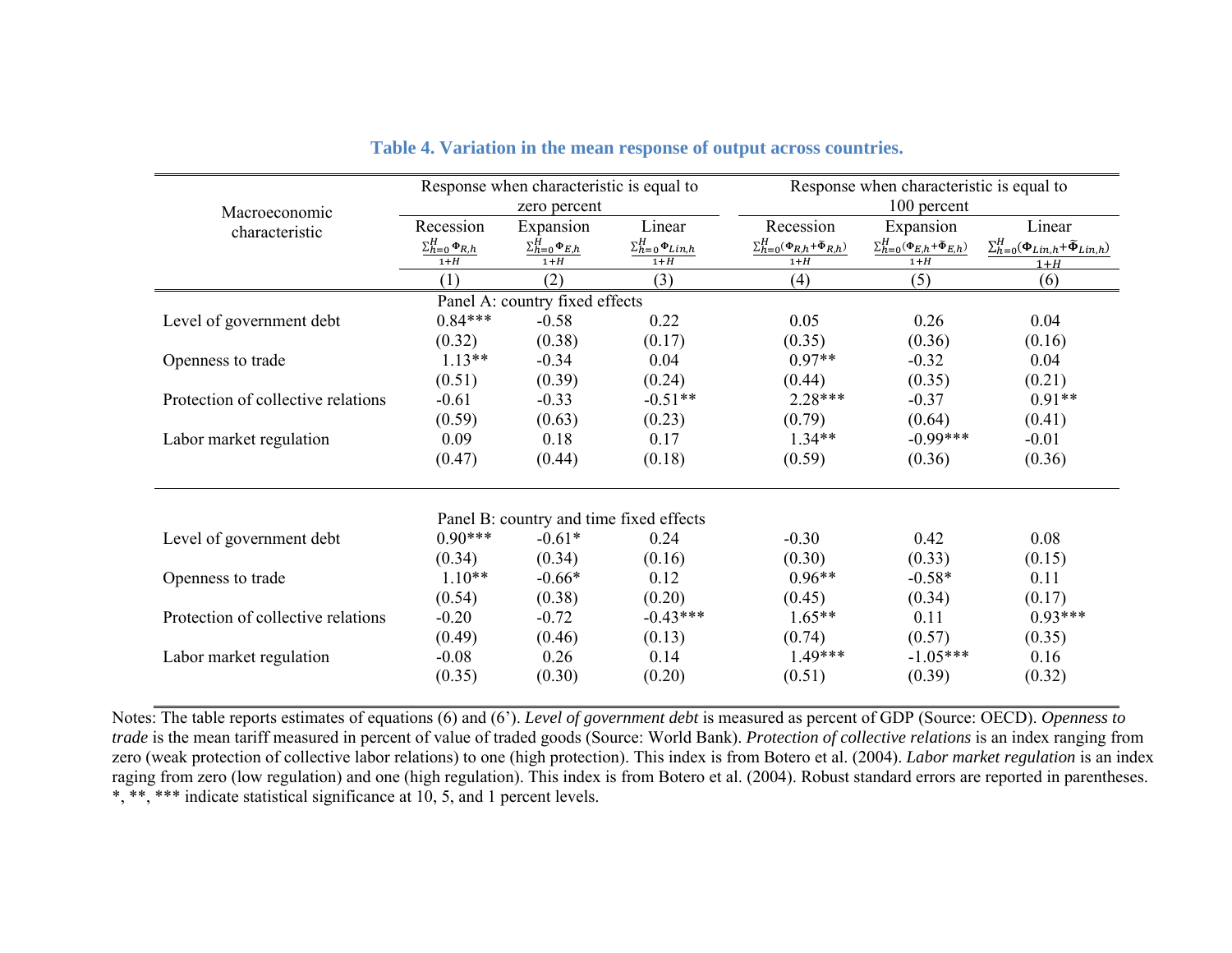|                                    | Response when characteristic is equal to |                                |                              | Response when characteristic is equal to        |                                                     |                                                         |  |
|------------------------------------|------------------------------------------|--------------------------------|------------------------------|-------------------------------------------------|-----------------------------------------------------|---------------------------------------------------------|--|
| Macroeconomic                      | zero percent                             |                                |                              | 100 percent                                     |                                                     |                                                         |  |
| characteristic                     | Recession                                | Expansion                      | Linear                       | Recession                                       | Expansion                                           | Linear                                                  |  |
|                                    | $\Sigma_{h=0}^{H} \Phi_{R,h}$            | $\Sigma_{h=0}^H \Phi_{E,h}$    | $\Sigma_{h=0}^H\Phi_{Lin,h}$ | $\Sigma_{h=0}^H(\Phi_{R,h}+\tilde{\Phi}_{R,h})$ | $\Sigma_{h=0}^H(\Phi_{E,h}+\widetilde{\Phi}_{E,h})$ | $\sum_{h=0}^{H}(\Phi_{Lin,h}+\widetilde{\Phi}_{Lin,h})$ |  |
|                                    | $1+H$                                    | $1+H$                          | $1+H$                        | $1+H$                                           | $1+H$                                               | $1+H$                                                   |  |
|                                    | (1)                                      | (2)                            | (3)                          | (4)                                             | (5)                                                 | (6)                                                     |  |
|                                    |                                          | Panel A: country fixed effects |                              |                                                 |                                                     |                                                         |  |
| Level of government debt           | $0.84***$                                | $-0.58$                        | 0.22                         | 0.05                                            | 0.26                                                | 0.04                                                    |  |
|                                    | (0.32)                                   | (0.38)                         | (0.17)                       | (0.35)                                          | (0.36)                                              | (0.16)                                                  |  |
| Openness to trade                  | $1.13**$                                 | $-0.34$                        | 0.04                         | $0.97**$                                        | $-0.32$                                             | 0.04                                                    |  |
|                                    | (0.51)                                   | (0.39)                         | (0.24)                       | (0.44)                                          | (0.35)                                              | (0.21)                                                  |  |
| Protection of collective relations | $-0.61$                                  | $-0.33$                        | $-0.51**$                    | $2.28***$                                       | $-0.37$                                             | $0.91**$                                                |  |
|                                    | (0.59)                                   | (0.63)                         | (0.23)                       | (0.79)                                          | (0.64)                                              | (0.41)                                                  |  |
| Labor market regulation            | 0.09                                     | 0.18                           | 0.17                         | $1.34**$                                        | $-0.99***$                                          | $-0.01$                                                 |  |
|                                    | (0.47)                                   | (0.44)                         | (0.18)                       | (0.59)                                          | (0.36)                                              | (0.36)                                                  |  |
|                                    | Panel B: country and time fixed effects  |                                |                              |                                                 |                                                     |                                                         |  |
| Level of government debt           | $0.90***$                                | $-0.61*$                       | 0.24                         | $-0.30$                                         | 0.42                                                | 0.08                                                    |  |
|                                    | (0.34)                                   | (0.34)                         | (0.16)                       | (0.30)                                          | (0.33)                                              | (0.15)                                                  |  |
| Openness to trade                  | $1.10**$                                 | $-0.66*$                       | 0.12                         | $0.96**$                                        | $-0.58*$                                            | 0.11                                                    |  |
|                                    | (0.54)                                   | (0.38)                         | (0.20)                       | (0.45)                                          | (0.34)                                              | (0.17)                                                  |  |
| Protection of collective relations | $-0.20$                                  | $-0.72$                        | $-0.43***$                   | $1.65**$                                        | 0.11                                                | $0.93***$                                               |  |
|                                    | (0.49)                                   | (0.46)                         | (0.13)                       | (0.74)                                          | (0.57)                                              | (0.35)                                                  |  |
| Labor market regulation            | $-0.08$                                  | 0.26                           | 0.14                         | $1.49***$                                       | $-1.05***$                                          | 0.16                                                    |  |
|                                    | (0.35)                                   | (0.30)                         | (0.20)                       | (0.51)                                          | (0.39)                                              | (0.32)                                                  |  |

| Table 4. Variation in the mean response of output across countries. |  |
|---------------------------------------------------------------------|--|
|---------------------------------------------------------------------|--|

Notes: The table reports estimates of equations (6) and (6'). *Level of government debt* is measured as percent of GDP (Source: OECD). *Openness to trade* is the mean tariff measured in percent of value of traded goods (Source: World Bank). *Protection of collective relations* is an index ranging from zero (weak protection of collective labor relations) to one (high protection). This index is from Botero et al. (2004). *Labor market regulation* is an index raging from zero (low regulation) and one (high regulation). This index is from Botero et al. (2004). Robust standard errors are reported in parentheses. \*, \*\*, \*\*\* indicate statistical significance at 10, 5, and 1 percent levels.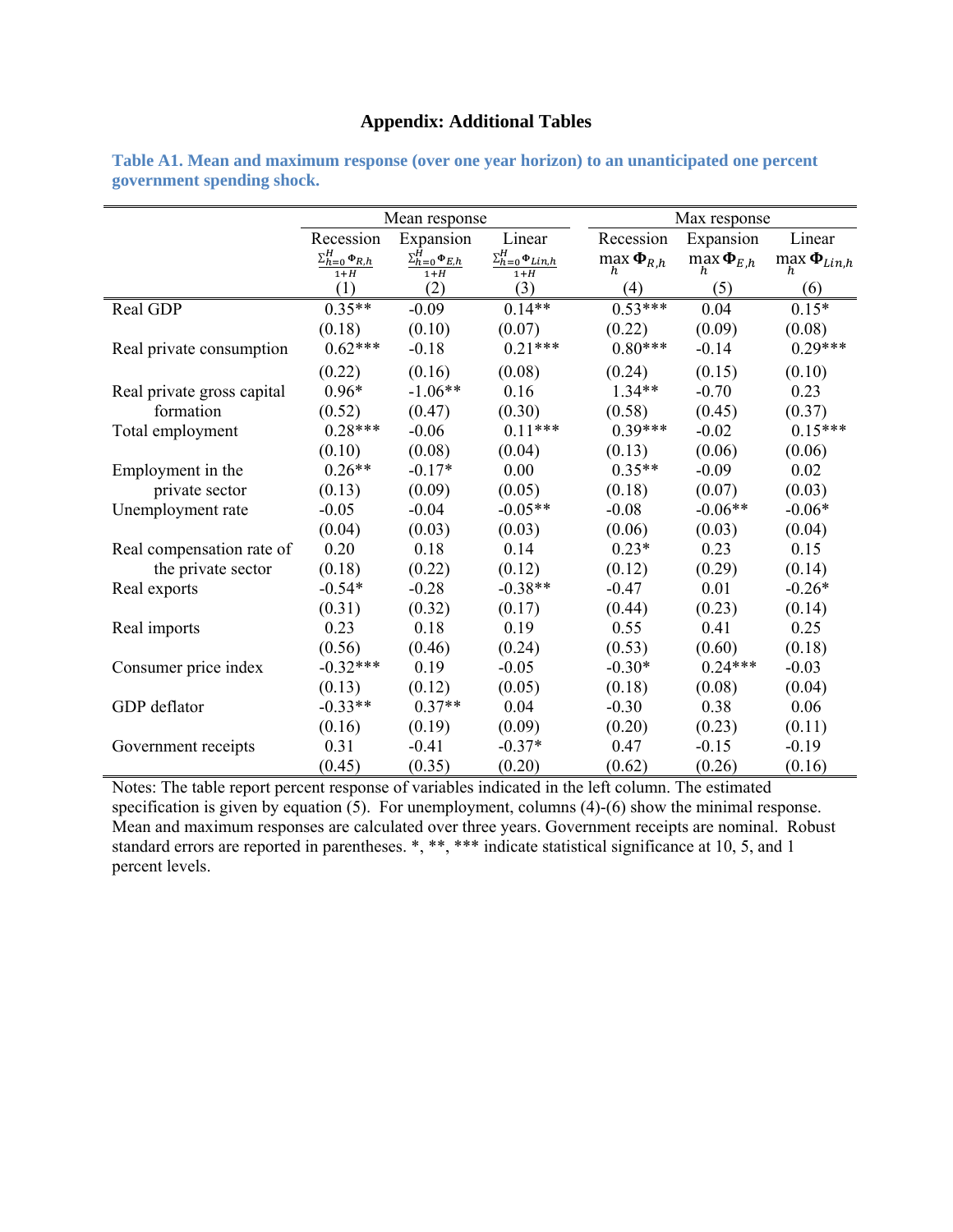## **Appendix: Additional Tables**

|                            | Mean response                            |                                     |                                                         |                              | Max response                 |                                |  |  |
|----------------------------|------------------------------------------|-------------------------------------|---------------------------------------------------------|------------------------------|------------------------------|--------------------------------|--|--|
|                            | Recession                                | Expansion                           | Linear                                                  | Recession                    | Expansion                    | Linear                         |  |  |
|                            | $\Sigma_{h=0}^{H} \Phi_{R,h}$<br>$1 + H$ | $\Sigma_{h=0}^H\Phi_{E,h}$<br>$1+H$ | $\Sigma_{h=0}^{H}$ $\Phi_{Lin,h}$<br>$1 + \overline{H}$ | $\max_h \mathbf{\Phi}_{R,h}$ | $\max_h \mathbf{\Phi}_{E,h}$ | $\max_h \mathbf{\Phi}_{Lin,h}$ |  |  |
|                            | (1)                                      | (2)                                 | (3)                                                     | (4)                          | (5)                          | (6)                            |  |  |
| Real GDP                   | $0.35**$                                 | $-0.09$                             | $0.14**$                                                | $0.53***$                    | 0.04                         | $0.15*$                        |  |  |
|                            | (0.18)                                   | (0.10)                              | (0.07)                                                  | (0.22)                       | (0.09)                       | (0.08)                         |  |  |
| Real private consumption   | $0.62***$                                | $-0.18$                             | $0.21***$                                               | $0.80***$                    | $-0.14$                      | $0.29***$                      |  |  |
|                            | (0.22)                                   | (0.16)                              | (0.08)                                                  | (0.24)                       | (0.15)                       | (0.10)                         |  |  |
| Real private gross capital | $0.96*$                                  | $-1.06**$                           | 0.16                                                    | $1.34**$                     | $-0.70$                      | 0.23                           |  |  |
| formation                  | (0.52)                                   | (0.47)                              | (0.30)                                                  | (0.58)                       | (0.45)                       | (0.37)                         |  |  |
| Total employment           | $0.28***$                                | $-0.06$                             | $0.11***$                                               | $0.39***$                    | $-0.02$                      | $0.15***$                      |  |  |
|                            | (0.10)                                   | (0.08)                              | (0.04)                                                  | (0.13)                       | (0.06)                       | (0.06)                         |  |  |
| Employment in the          | $0.26**$                                 | $-0.17*$                            | 0.00                                                    | $0.35**$                     | $-0.09$                      | 0.02                           |  |  |
| private sector             | (0.13)                                   | (0.09)                              | (0.05)                                                  | (0.18)                       | (0.07)                       | (0.03)                         |  |  |
| Unemployment rate          | $-0.05$                                  | $-0.04$                             | $-0.05**$                                               | $-0.08$                      | $-0.06**$                    | $-0.06*$                       |  |  |
|                            | (0.04)                                   | (0.03)                              | (0.03)                                                  | (0.06)                       | (0.03)                       | (0.04)                         |  |  |
| Real compensation rate of  | 0.20                                     | 0.18                                | 0.14                                                    | $0.23*$                      | 0.23                         | 0.15                           |  |  |
| the private sector         | (0.18)                                   | (0.22)                              | (0.12)                                                  | (0.12)                       | (0.29)                       | (0.14)                         |  |  |
| Real exports               | $-0.54*$                                 | $-0.28$                             | $-0.38**$                                               | $-0.47$                      | 0.01                         | $-0.26*$                       |  |  |
|                            | (0.31)                                   | (0.32)                              | (0.17)                                                  | (0.44)                       | (0.23)                       | (0.14)                         |  |  |
| Real imports               | 0.23                                     | 0.18                                | 0.19                                                    | 0.55                         | 0.41                         | 0.25                           |  |  |
|                            | (0.56)                                   | (0.46)                              | (0.24)                                                  | (0.53)                       | (0.60)                       | (0.18)                         |  |  |
| Consumer price index       | $-0.32***$                               | 0.19                                | $-0.05$                                                 | $-0.30*$                     | $0.24***$                    | $-0.03$                        |  |  |
|                            | (0.13)                                   | (0.12)                              | (0.05)                                                  | (0.18)                       | (0.08)                       | (0.04)                         |  |  |
| GDP deflator               | $-0.33**$                                | $0.37**$                            | 0.04                                                    | $-0.30$                      | 0.38                         | 0.06                           |  |  |
|                            | (0.16)                                   | (0.19)                              | (0.09)                                                  | (0.20)                       | (0.23)                       | (0.11)                         |  |  |
| Government receipts        | 0.31                                     | $-0.41$                             | $-0.37*$                                                | 0.47                         | $-0.15$                      | $-0.19$                        |  |  |
|                            | (0.45)                                   | (0.35)                              | (0.20)                                                  | (0.62)                       | (0.26)                       | (0.16)                         |  |  |

**Table A1. Mean and maximum response (over one year horizon) to an unanticipated one percent government spending shock.** 

Notes: The table report percent response of variables indicated in the left column. The estimated specification is given by equation (5). For unemployment, columns (4)-(6) show the minimal response. Mean and maximum responses are calculated over three years. Government receipts are nominal. Robust standard errors are reported in parentheses. \*, \*\*, \*\*\* indicate statistical significance at 10, 5, and 1 percent levels.